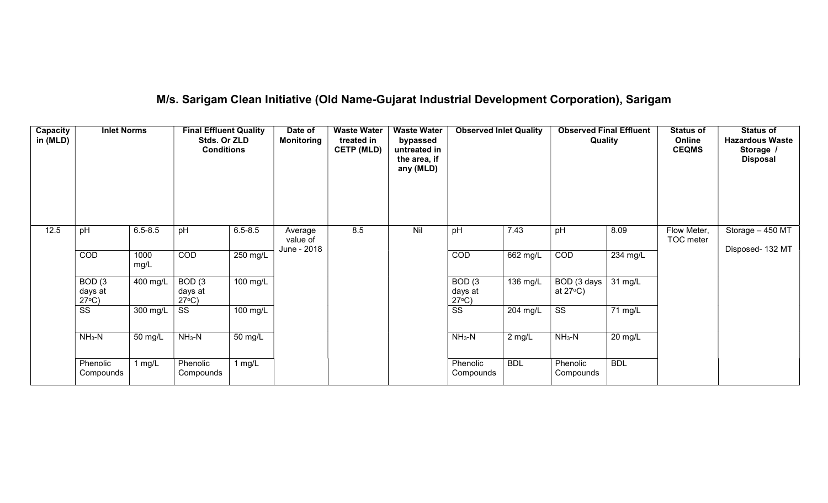# M/s. Sarigam Clean Initiative (Old Name-Gujarat Industrial Development Corporation), Sarigam

| Capacity<br>in (MLD) | <b>Inlet Norms</b>                              |              | <b>Final Effluent Quality</b><br>Stds. Or ZLD<br><b>Conditions</b> |             | Date of<br><b>Monitoring</b> | <b>Waste Water</b><br>treated in<br><b>CETP (MLD)</b> | <b>Waste Water</b><br>bypassed<br>untreated in<br>the area, if<br>any (MLD) | <b>Observed Inlet Quality</b>        |            | <b>Observed Final Effluent</b><br>Quality |            | <b>Status of</b><br>Online<br><b>CEQMS</b> | <b>Status of</b><br><b>Hazardous Waste</b><br>Storage /<br><b>Disposal</b> |
|----------------------|-------------------------------------------------|--------------|--------------------------------------------------------------------|-------------|------------------------------|-------------------------------------------------------|-----------------------------------------------------------------------------|--------------------------------------|------------|-------------------------------------------|------------|--------------------------------------------|----------------------------------------------------------------------------|
| 12.5                 | pH                                              | $6.5 - 8.5$  | pH                                                                 | $6.5 - 8.5$ | Average<br>value of          | 8.5                                                   | Nil                                                                         | pH                                   | 7.43       | pH                                        | 8.09       | Flow Meter,<br>TOC meter                   | Storage - 450 MT                                                           |
|                      | <b>COD</b>                                      | 1000<br>mg/L | COD                                                                | 250 mg/L    | June - 2018                  |                                                       |                                                                             | COD                                  | 662 mg/L   | COD                                       | 234 mg/L   |                                            | Disposed- 132 MT                                                           |
|                      | BOD <sub>(3</sub><br>days at<br>$27^{\circ}C$ ) | 400 mg/L     | BOD <sub>(3</sub><br>days at<br>$27^{\circ}C$ )                    | 100 mg/L    |                              |                                                       |                                                                             | BOD(3)<br>days at<br>$27^{\circ}C$ ) | 136 mg/L   | BOD (3 days<br>at $27^{\circ}$ C)         | 31 mg/L    |                                            |                                                                            |
|                      | $\overline{\text{ss}}$                          | 300 mg/L     | SS                                                                 | 100 mg/L    |                              |                                                       |                                                                             | $\overline{\text{ss}}$               | 204 mg/L   | $\overline{\text{SS}}$                    | 71 mg/L    |                                            |                                                                            |
|                      | $NH3-N$                                         | 50 mg/L      | $NH3-N$                                                            | 50 mg/L     |                              |                                                       |                                                                             | $NH3-N$                              | $2$ mg/L   | $NH3-N$                                   | 20 mg/L    |                                            |                                                                            |
|                      | Phenolic<br>Compounds                           | 1 $mg/L$     | Phenolic<br>Compounds                                              | 1 mg/L      |                              |                                                       |                                                                             | Phenolic<br>Compounds                | <b>BDL</b> | Phenolic<br>Compounds                     | <b>BDL</b> |                                            |                                                                            |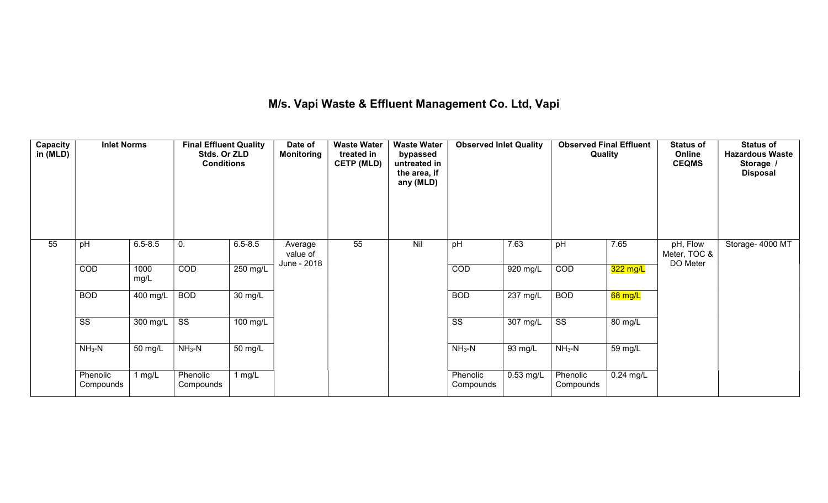## M/s. Vapi Waste & Effluent Management Co. Ltd, Vapi

| Capacity<br>in (MLD) | <b>Inlet Norms</b>    |                  | <b>Final Effluent Quality</b><br>Stds. Or ZLD<br><b>Conditions</b> |             | Date of<br><b>Monitoring</b> | <b>Waste Water</b><br>treated in<br><b>CETP (MLD)</b> | <b>Waste Water</b><br>bypassed<br>untreated in<br>the area, if<br>any (MLD) | <b>Observed Inlet Quality</b> |                       | <b>Observed Final Effluent</b><br>Quality |             | <b>Status of</b><br>Online<br><b>CEQMS</b> | <b>Status of</b><br><b>Hazardous Waste</b><br>Storage /<br><b>Disposal</b> |
|----------------------|-----------------------|------------------|--------------------------------------------------------------------|-------------|------------------------------|-------------------------------------------------------|-----------------------------------------------------------------------------|-------------------------------|-----------------------|-------------------------------------------|-------------|--------------------------------------------|----------------------------------------------------------------------------|
| 55                   | pH                    | $6.5 - 8.5$      | 0.                                                                 | $6.5 - 8.5$ | Average<br>value of          | 55                                                    | Nil                                                                         | pH                            | 7.63                  | pH                                        | 7.65        | pH, Flow<br>Meter, TOC &                   | Storage- 4000 MT                                                           |
|                      | COD                   | 1000<br>mg/L     | COD                                                                | 250 mg/L    | June - 2018                  |                                                       |                                                                             | COD                           | $\overline{920}$ mg/L | COD                                       | 322 mg/L    | DO Meter                                   |                                                                            |
|                      | <b>BOD</b>            | 400 mg/L         | <b>BOD</b>                                                         | 30 mg/L     |                              |                                                       |                                                                             | <b>BOD</b>                    | $237 \text{ mg/L}$    | <b>BOD</b>                                | 68 mg/L     |                                            |                                                                            |
|                      | SS                    | 300 mg/L $\vert$ | SS                                                                 | 100 mg/L    |                              |                                                       |                                                                             | SS                            | 307 mg/L              | SS                                        | 80 mg/L     |                                            |                                                                            |
|                      | $NH3-N$               | 50 mg/L          | $NH3-N$                                                            | 50 mg/L     |                              |                                                       |                                                                             | $NH3-N$                       | 93 mg/L               | $NH3-N$                                   | 59 mg/L     |                                            |                                                                            |
|                      | Phenolic<br>Compounds | 1 $mg/L$         | Phenolic<br>Compounds                                              | 1 $mg/L$    |                              |                                                       |                                                                             | Phenolic<br>Compounds         | $0.53$ mg/L           | Phenolic<br>Compounds                     | $0.24$ mg/L |                                            |                                                                            |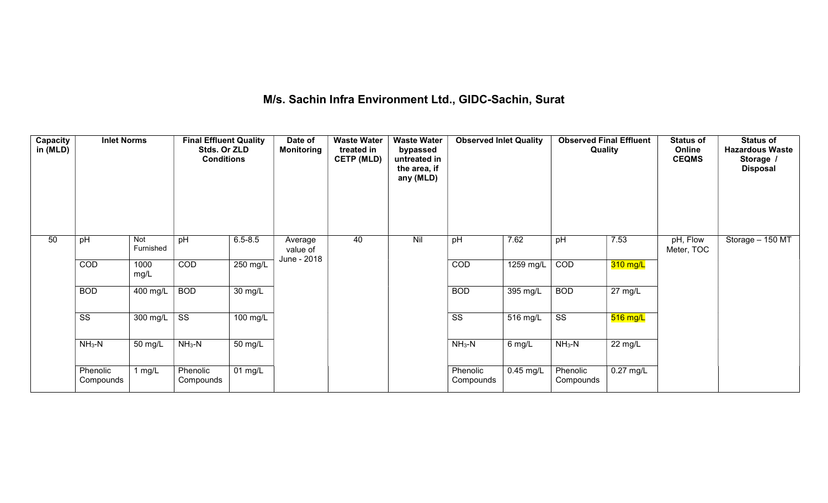# M/s. Sachin Infra Environment Ltd., GIDC-Sachin, Surat

| Capacity<br>in (MLD) | <b>Inlet Norms</b>    |                  | <b>Final Effluent Quality</b><br>Stds. Or ZLD<br><b>Conditions</b> |                      | Date of<br><b>Monitoring</b>       | <b>Waste Water</b><br>treated in<br><b>CETP (MLD)</b> | <b>Waste Water</b><br>bypassed<br>untreated in<br>the area, if<br>any (MLD) | <b>Observed Inlet Quality</b> |             | Quality               | <b>Observed Final Effluent</b> | <b>Status of</b><br>Online<br><b>CEQMS</b> | <b>Status of</b><br><b>Hazardous Waste</b><br>Storage /<br><b>Disposal</b> |
|----------------------|-----------------------|------------------|--------------------------------------------------------------------|----------------------|------------------------------------|-------------------------------------------------------|-----------------------------------------------------------------------------|-------------------------------|-------------|-----------------------|--------------------------------|--------------------------------------------|----------------------------------------------------------------------------|
| 50                   | pH                    | Not<br>Furnished | pH                                                                 | $6.5 - 8.5$          | Average<br>value of<br>June - 2018 | 40                                                    | Nil                                                                         | pH                            | 7.62        | pH                    | 7.53                           | pH, Flow<br>Meter, TOC                     | Storage - 150 MT                                                           |
|                      | COD                   | 1000<br>mg/L     | COD                                                                | 250 mg/L             |                                    |                                                       |                                                                             | COD                           | 1259 mg/L   | COD                   | $310$ mg/L                     |                                            |                                                                            |
|                      | <b>BOD</b>            | 400 mg/L         | <b>BOD</b>                                                         | $30 \text{ mg/L}$    |                                    |                                                       |                                                                             | <b>BOD</b>                    | 395 mg/L    | <b>BOD</b>            | $\overline{27}$ mg/L           |                                            |                                                                            |
|                      | SS                    | 300 mg/L         | SS                                                                 | 100 mg/L             |                                    |                                                       |                                                                             | SS                            | 516 mg/L    | SS                    | $516$ mg/L                     |                                            |                                                                            |
|                      | $NH3-N$               | 50 mg/L          | $NH3-N$                                                            | 50 mg/L              |                                    |                                                       |                                                                             | $NH3-N$                       | 6 mg/L      | $NH_3-N$              | 22 mg/L                        |                                            |                                                                            |
|                      | Phenolic<br>Compounds | 1 mg/ $L$        | Phenolic<br>Compounds                                              | $\overline{01}$ mg/L |                                    |                                                       |                                                                             | Phenolic<br>Compounds         | $0.45$ mg/L | Phenolic<br>Compounds | $0.27$ mg/L                    |                                            |                                                                            |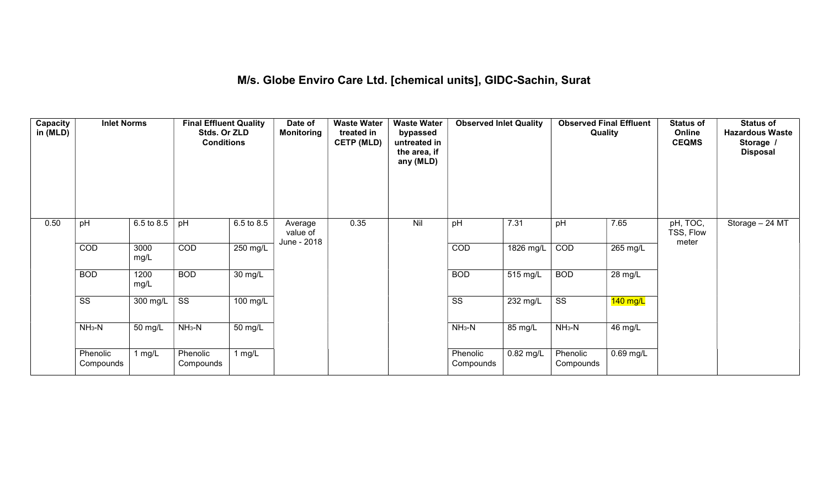## M/s. Globe Enviro Care Ltd. [chemical units], GIDC-Sachin, Surat

| Capacity<br>in (MLD) | <b>Inlet Norms</b>     |              | <b>Final Effluent Quality</b><br>Stds. Or ZLD<br><b>Conditions</b> |                       | Date of<br><b>Monitoring</b>       | <b>Waste Water</b><br>treated in<br><b>CETP (MLD)</b> | <b>Waste Water</b><br>bypassed<br>untreated in<br>the area, if<br>any (MLD) | <b>Observed Inlet Quality</b> |             | <b>Observed Final Effluent</b><br>Quality |             | <b>Status of</b><br>Online<br><b>CEQMS</b> | <b>Status of</b><br><b>Hazardous Waste</b><br>Storage<br><b>Disposal</b> |
|----------------------|------------------------|--------------|--------------------------------------------------------------------|-----------------------|------------------------------------|-------------------------------------------------------|-----------------------------------------------------------------------------|-------------------------------|-------------|-------------------------------------------|-------------|--------------------------------------------|--------------------------------------------------------------------------|
| 0.50                 | pH                     | 6.5 to 8.5   | pH                                                                 | 6.5 to 8.5            | Average<br>value of<br>June - 2018 | 0.35                                                  | Nil                                                                         | pH                            | 7.31        | pH                                        | 7.65        | pH, TOC,<br>TSS, Flow<br>meter             | Storage - 24 MT                                                          |
|                      | COD                    | 3000<br>mg/L | COD                                                                | 250 mg/L              |                                    |                                                       |                                                                             | COD                           | 1826 mg/L   | COD                                       | 265 mg/L    |                                            |                                                                          |
|                      | <b>BOD</b>             | 1200<br>mg/L | <b>BOD</b>                                                         | $\overline{30}$ mg/L  |                                    |                                                       |                                                                             | <b>BOD</b>                    | 515 mg/L    | <b>BOD</b>                                | 28 mg/L     |                                            |                                                                          |
|                      | $\overline{\text{ss}}$ | 300 mg/L     | $\overline{\text{ss}}$                                             | $\overline{100}$ mg/L |                                    |                                                       |                                                                             | $\overline{\text{ss}}$        | 232 mg/L    | $\overline{\text{ss}}$                    | 140 mg/L    |                                            |                                                                          |
|                      | $NH3-N$                | 50 mg/L      | $NH3-N$                                                            | 50 mg/L               |                                    |                                                       |                                                                             | $NH3-N$                       | 85 mg/L     | $NH_3-N$                                  | 46 mg/L     |                                            |                                                                          |
|                      | Phenolic<br>Compounds  | 1 $mg/L$     | Phenolic<br>Compounds                                              | 1 $mg/L$              |                                    |                                                       |                                                                             | Phenolic<br>Compounds         | $0.82$ mg/L | Phenolic<br>Compounds                     | $0.69$ mg/L |                                            |                                                                          |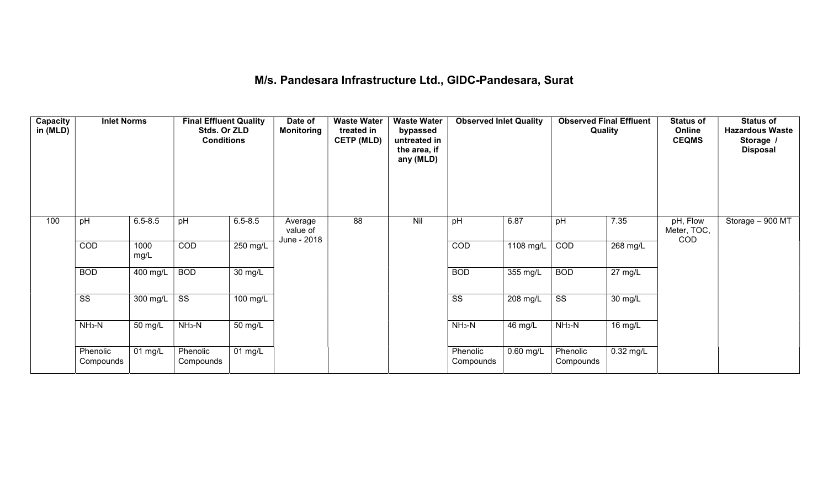## M/s. Pandesara Infrastructure Ltd., GIDC-Pandesara, Surat

| Capacity<br>in (MLD) | <b>Inlet Norms</b>     |              | <b>Final Effluent Quality</b><br>Stds. Or ZLD<br><b>Conditions</b> |             | Date of<br>Monitoring              | <b>Waste Water</b><br>treated in<br><b>CETP (MLD)</b> | <b>Waste Water</b><br>bypassed<br>untreated in<br>the area, if<br>any (MLD) | <b>Observed Inlet Quality</b> |             | <b>Observed Final Effluent</b><br>Quality |             | <b>Status of</b><br>Online<br><b>CEQMS</b> | <b>Status of</b><br><b>Hazardous Waste</b><br>Storage /<br><b>Disposal</b> |
|----------------------|------------------------|--------------|--------------------------------------------------------------------|-------------|------------------------------------|-------------------------------------------------------|-----------------------------------------------------------------------------|-------------------------------|-------------|-------------------------------------------|-------------|--------------------------------------------|----------------------------------------------------------------------------|
| 100                  | pH                     | $6.5 - 8.5$  | pH                                                                 | $6.5 - 8.5$ | Average<br>value of<br>June - 2018 | 88                                                    | Nil                                                                         | pH                            | 6.87        | pH                                        | 7.35        | pH, Flow<br>Meter, TOC,<br>COD             | Storage $-900$ MT                                                          |
|                      | COD                    | 1000<br>mg/L | COD                                                                | 250 mg/L    |                                    |                                                       |                                                                             | COD                           | 1108 mg/L   | COD                                       | 268 mg/L    |                                            |                                                                            |
|                      | <b>BOD</b>             | 400 mg/L     | <b>BOD</b>                                                         | 30 mg/L     |                                    |                                                       |                                                                             | <b>BOD</b>                    | 355 mg/L    | <b>BOD</b>                                | $27$ mg/L   |                                            |                                                                            |
|                      | $\overline{\text{ss}}$ | 300 mg/L     | $\overline{\text{ss}}$                                             | 100 mg/L    |                                    |                                                       |                                                                             | $\overline{\text{ss}}$        | 208 mg/L    | $\overline{\text{ss}}$                    | 30 mg/L     |                                            |                                                                            |
|                      | $NH3-N$                | 50 mg/L      | $NH3-N$                                                            | 50 mg/L     |                                    |                                                       |                                                                             | $NH3-N$                       | 46 mg/L     | $NH3-N$                                   | 16 mg/L     |                                            |                                                                            |
|                      | Phenolic<br>Compounds  | 01 mg/L      | Phenolic<br>Compounds                                              | 01 $mg/L$   |                                    |                                                       |                                                                             | Phenolic<br>Compounds         | $0.60$ mg/L | Phenolic<br>Compounds                     | $0.32$ mg/L |                                            |                                                                            |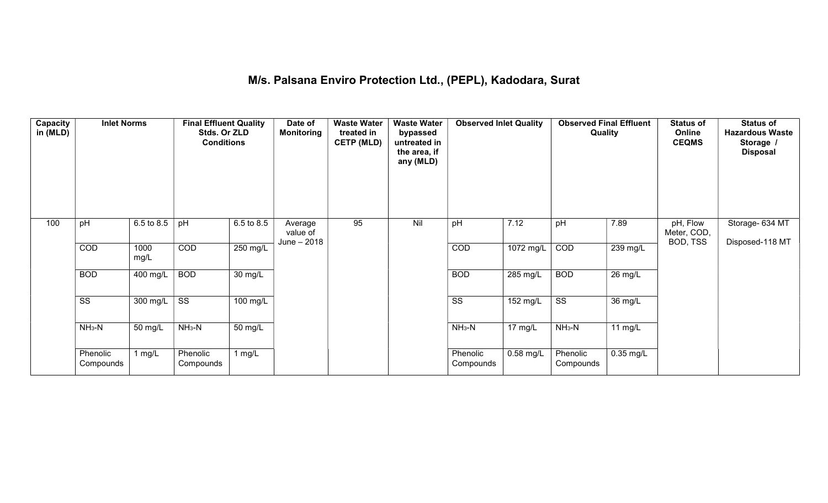#### M/s. Palsana Enviro Protection Ltd., (PEPL), Kadodara, Surat

| Capacity<br>in (MLD) | <b>Inlet Norms</b>     |              | <b>Final Effluent Quality</b><br>Stds. Or ZLD<br><b>Conditions</b> |                   | Date of<br><b>Monitoring</b>       | <b>Waste Water</b><br>treated in<br><b>CETP (MLD)</b> | <b>Waste Water</b><br>bypassed<br>untreated in<br>the area, if<br>any (MLD) | <b>Observed Inlet Quality</b> |                       | <b>Observed Final Effluent</b><br>Quality |             | <b>Status of</b><br>Online<br><b>CEQMS</b> | <b>Status of</b><br><b>Hazardous Waste</b><br>Storage /<br><b>Disposal</b> |
|----------------------|------------------------|--------------|--------------------------------------------------------------------|-------------------|------------------------------------|-------------------------------------------------------|-----------------------------------------------------------------------------|-------------------------------|-----------------------|-------------------------------------------|-------------|--------------------------------------------|----------------------------------------------------------------------------|
| 100                  | pH                     | 6.5 to 8.5   | pH                                                                 | 6.5 to 8.5        | Average<br>value of<br>June - 2018 | 95                                                    | Nil                                                                         | pH                            | 7.12                  | pH                                        | 7.89        | pH, Flow<br>Meter, COD,<br>BOD, TSS        | Storage- 634 MT<br>Disposed-118 MT                                         |
|                      | COD                    | 1000<br>mg/L | COD                                                                | 250 mg/L          |                                    |                                                       |                                                                             | COD                           | 1072 mg/L             | COD                                       | 239 mg/L    |                                            |                                                                            |
|                      | <b>BOD</b>             | 400 mg/L     | <b>BOD</b>                                                         | $30 \text{ mg/L}$ |                                    |                                                       |                                                                             | <b>BOD</b>                    | $\overline{285}$ mg/L | <b>BOD</b>                                | 26 mg/L     |                                            |                                                                            |
|                      | $\overline{\text{ss}}$ | 300 mg/L     | $\overline{\text{ss}}$                                             | $100$ mg/L        |                                    |                                                       |                                                                             | $\overline{\text{ss}}$        | $152$ mg/L            | $\overline{\text{ss}}$                    | 36 mg/L     |                                            |                                                                            |
|                      | $NH3-N$                | 50 mg/L      | $NH3-N$                                                            | 50 mg/L           |                                    |                                                       |                                                                             | $NH3-N$                       | 17 mg/L               | $NH3-N$                                   | 11 $mg/L$   |                                            |                                                                            |
|                      | Phenolic<br>Compounds  | 1 mg/ $L$    | Phenolic<br>Compounds                                              | 1 mg/L            |                                    |                                                       |                                                                             | Phenolic<br>Compounds         | $0.58$ mg/L           | Phenolic<br>Compounds                     | $0.35$ mg/L |                                            |                                                                            |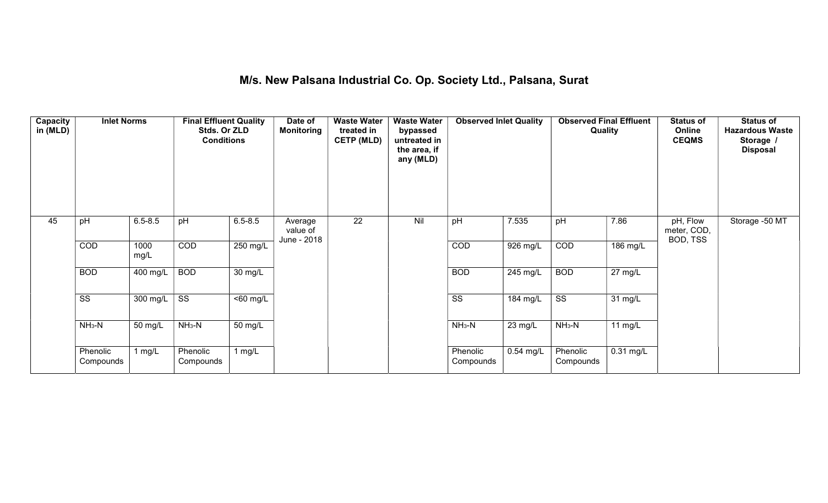#### M/s. New Palsana Industrial Co. Op. Society Ltd., Palsana, Surat

| Capacity<br>in (MLD) | <b>Inlet Norms</b>     |              | <b>Final Effluent Quality</b><br>Stds. Or ZLD<br><b>Conditions</b> |                       | Date of<br><b>Monitoring</b>       | <b>Waste Water</b><br>treated in<br><b>CETP (MLD)</b> | <b>Waste Water</b><br>bypassed<br>untreated in<br>the area, if<br>any (MLD) | <b>Observed Inlet Quality</b> |             | <b>Observed Final Effluent</b><br><b>Quality</b> |                      | <b>Status of</b><br>Online<br><b>CEQMS</b> | <b>Status of</b><br><b>Hazardous Waste</b><br>Storage /<br><b>Disposal</b> |
|----------------------|------------------------|--------------|--------------------------------------------------------------------|-----------------------|------------------------------------|-------------------------------------------------------|-----------------------------------------------------------------------------|-------------------------------|-------------|--------------------------------------------------|----------------------|--------------------------------------------|----------------------------------------------------------------------------|
| 45                   | pH                     | $6.5 - 8.5$  | pH                                                                 | $6.5 - 8.5$           | Average<br>value of<br>June - 2018 | $\overline{22}$                                       | Nil                                                                         | pH                            | 7.535       | pH                                               | 7.86                 | pH, Flow<br>meter, COD,<br>BOD, TSS        | Storage -50 MT                                                             |
|                      | COD                    | 1000<br>mg/L | COD                                                                | 250 mg/L              |                                    |                                                       |                                                                             | COD                           | 926 mg/L    | COD                                              | 186 mg/L             |                                            |                                                                            |
|                      | <b>BOD</b>             | 400 mg/L     | <b>BOD</b>                                                         | $\overline{30}$ mg/L  |                                    |                                                       |                                                                             | <b>BOD</b>                    | 245 mg/L    | <b>BOD</b>                                       | $\overline{27}$ mg/L |                                            |                                                                            |
|                      | $\overline{\text{ss}}$ | 300 mg/L     | $\overline{\text{ss}}$                                             | $\overline{560}$ mg/L |                                    |                                                       |                                                                             | $\overline{\text{ss}}$        | 184 mg/L    | $\overline{\text{ss}}$                           | 31 mg/L              |                                            |                                                                            |
|                      | $NH3-N$                | 50 mg/L      | $NH3-N$                                                            | 50 mg/L               |                                    |                                                       |                                                                             | $NH3-N$                       | 23 mg/L     | $NH3-N$                                          | $11$ mg/L            |                                            |                                                                            |
|                      | Phenolic<br>Compounds  | 1 $mg/L$     | Phenolic<br>Compounds                                              | 1 mg/L                |                                    |                                                       |                                                                             | Phenolic<br>Compounds         | $0.54$ mg/L | Phenolic<br>Compounds                            | $0.31$ mg/L          |                                            |                                                                            |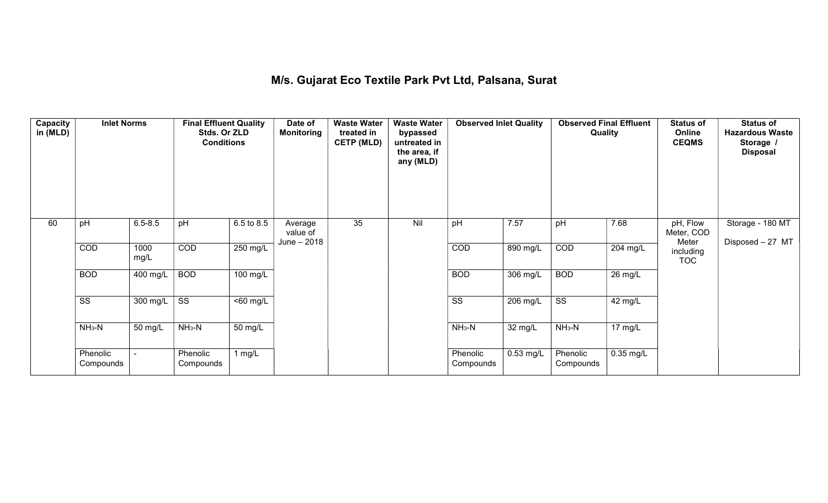#### M/s. Gujarat Eco Textile Park Pvt Ltd, Palsana, Surat

| Capacity<br>in (MLD) | <b>Inlet Norms</b>     |              | <b>Final Effluent Quality</b><br>Stds. Or ZLD<br><b>Conditions</b> |                       | Date of<br><b>Monitoring</b>       | <b>Waste Water</b><br>treated in<br><b>CETP (MLD)</b> | <b>Waste Water</b><br>bypassed<br>untreated in<br>the area, if<br>any (MLD) | <b>Observed Inlet Quality</b> |             | <b>Observed Final Effluent</b><br>Quality |                      | <b>Status of</b><br>Online<br><b>CEQMS</b> | <b>Status of</b><br><b>Hazardous Waste</b><br>Storage /<br><b>Disposal</b> |
|----------------------|------------------------|--------------|--------------------------------------------------------------------|-----------------------|------------------------------------|-------------------------------------------------------|-----------------------------------------------------------------------------|-------------------------------|-------------|-------------------------------------------|----------------------|--------------------------------------------|----------------------------------------------------------------------------|
| 60                   | pH                     | $6.5 - 8.5$  | pH                                                                 | 6.5 to 8.5            | Average<br>value of<br>June - 2018 | 35                                                    | Nil                                                                         | pH                            | 7.57        | pH                                        | 7.68                 | pH, Flow<br>Meter, COD<br>Meter            | Storage - 180 MT<br>Disposed - 27 MT                                       |
|                      | COD                    | 1000<br>mg/L | COD                                                                | 250 mg/L              |                                    |                                                       |                                                                             | COD                           | 890 mg/L    | COD                                       | 204 mg/L             | including<br><b>TOC</b>                    |                                                                            |
|                      | <b>BOD</b>             | 400 mg/L     | <b>BOD</b>                                                         | 100 mg/L              |                                    |                                                       |                                                                             | <b>BOD</b>                    | 306 mg/L    | <b>BOD</b>                                | $\overline{26}$ mg/L |                                            |                                                                            |
|                      | $\overline{\text{ss}}$ | 300 mg/L     | $\overline{\text{ss}}$                                             | $\overline{560}$ mg/L |                                    |                                                       |                                                                             | $\overline{\text{ss}}$        | 206 mg/L    | $\overline{\text{ss}}$                    | 42 mg/L              |                                            |                                                                            |
|                      | $NH3-N$                | 50 mg/L      | $NH_3-N$                                                           | 50 mg/L               |                                    |                                                       |                                                                             | $NH3-N$                       | 32 mg/L     | $NH3-N$                                   | 17 mg/L              |                                            |                                                                            |
|                      | Phenolic<br>Compounds  |              | Phenolic<br>Compounds                                              | 1 $mg/L$              |                                    |                                                       |                                                                             | Phenolic<br>Compounds         | $0.53$ mg/L | Phenolic<br>Compounds                     | $0.35$ mg/L          |                                            |                                                                            |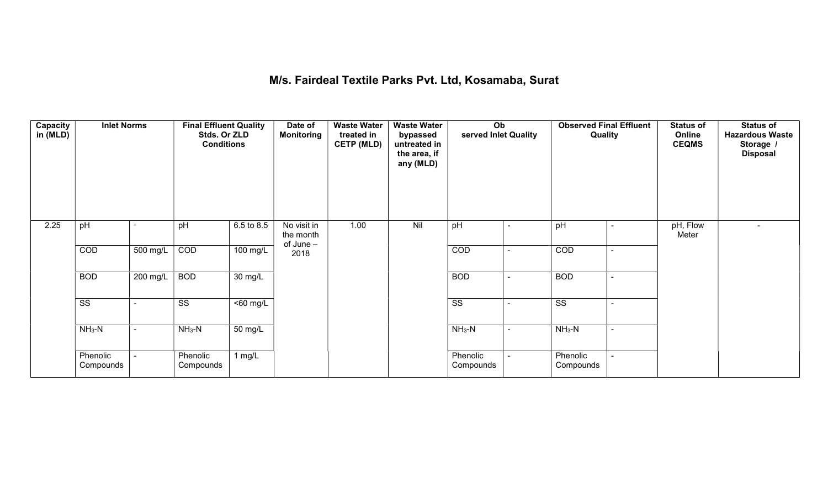## M/s. Fairdeal Textile Parks Pvt. Ltd, Kosamaba, Surat

| Capacity<br>in (MLD) | <b>Inlet Norms</b>     |                          | <b>Final Effluent Quality</b><br>Stds. Or ZLD<br><b>Conditions</b> |                      | Date of<br><b>Monitoring</b>          | <b>Waste Water</b><br>treated in<br><b>CETP (MLD)</b> | <b>Waste Water</b><br>bypassed<br>untreated in<br>the area, if<br>any (MLD) | Ob<br>served Inlet Quality |                          | <b>Observed Final Effluent</b><br>Quality |                | <b>Status of</b><br>Online<br><b>CEQMS</b> | <b>Status of</b><br><b>Hazardous Waste</b><br>Storage /<br><b>Disposal</b> |
|----------------------|------------------------|--------------------------|--------------------------------------------------------------------|----------------------|---------------------------------------|-------------------------------------------------------|-----------------------------------------------------------------------------|----------------------------|--------------------------|-------------------------------------------|----------------|--------------------------------------------|----------------------------------------------------------------------------|
| 2.25                 | pH                     |                          | pH                                                                 | 6.5 to 8.5           | No visit in<br>the month<br>of June - | 1.00                                                  | Nil                                                                         | pH                         | ۰                        | pH                                        | $\blacksquare$ | pH, Flow<br>Meter                          |                                                                            |
|                      | COD                    | 500 mg/L                 | COD                                                                | 100 mg/L             | 2018                                  |                                                       |                                                                             | COD                        | $\blacksquare$           | COD                                       | $\blacksquare$ |                                            |                                                                            |
|                      | <b>BOD</b>             | 200 mg/L                 | <b>BOD</b>                                                         | $\overline{30}$ mg/L |                                       |                                                       |                                                                             | <b>BOD</b>                 | $\overline{\phantom{a}}$ | <b>BOD</b>                                | ۰              |                                            |                                                                            |
|                      | $\overline{\text{ss}}$ | $\overline{\phantom{0}}$ | $\overline{\text{ss}}$                                             | $50$ mg/L            |                                       |                                                       |                                                                             | $\overline{\text{ss}}$     | $\blacksquare$           | $\overline{\text{ss}}$                    | $\sim$         |                                            |                                                                            |
|                      | $NH3-N$                | $\blacksquare$           | $NH3-N$                                                            | 50 mg/L              |                                       |                                                       |                                                                             | $NH3-N$                    | $\sim$                   | $NH3-N$                                   | $\sim$         |                                            |                                                                            |
|                      | Phenolic<br>Compounds  |                          | Phenolic<br>Compounds                                              | 1 $mg/L$             |                                       |                                                       |                                                                             | Phenolic<br>Compounds      |                          | Phenolic<br>Compounds                     |                |                                            |                                                                            |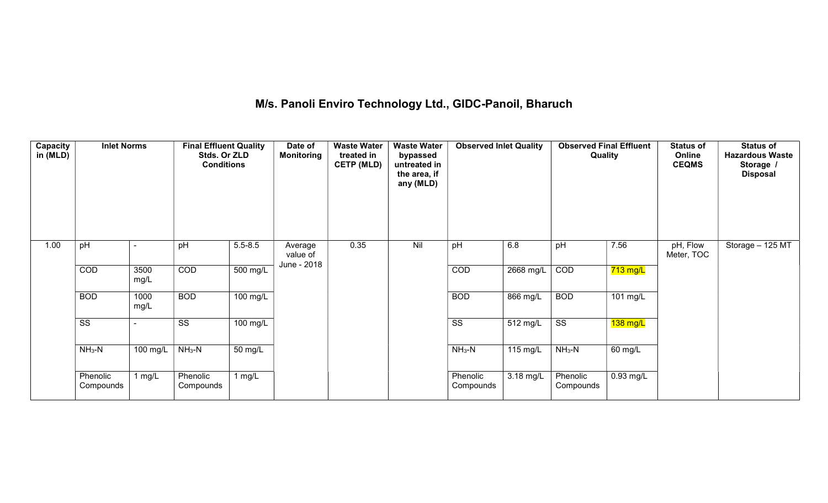# M/s. Panoli Enviro Technology Ltd., GIDC-Panoil, Bharuch

| Capacity<br>in (MLD) | <b>Inlet Norms</b>     |              | <b>Final Effluent Quality</b><br>Stds. Or ZLD<br><b>Conditions</b> |                    | Date of<br><b>Monitoring</b>       | <b>Waste Water</b><br>treated in<br><b>CETP (MLD)</b> | <b>Waste Water</b><br>bypassed<br>untreated in<br>the area, if<br>any (MLD) | <b>Observed Inlet Quality</b> |                        | <b>Observed Final Effluent</b><br>Quality |                        | <b>Status of</b><br>Online<br><b>CEQMS</b> | <b>Status of</b><br><b>Hazardous Waste</b><br>Storage /<br><b>Disposal</b> |
|----------------------|------------------------|--------------|--------------------------------------------------------------------|--------------------|------------------------------------|-------------------------------------------------------|-----------------------------------------------------------------------------|-------------------------------|------------------------|-------------------------------------------|------------------------|--------------------------------------------|----------------------------------------------------------------------------|
| 1.00                 | pH                     |              | pH                                                                 | $5.5 - 8.5$        | Average<br>value of<br>June - 2018 | 0.35                                                  | Nil                                                                         | pH                            | 6.8                    | pH                                        | 7.56                   | pH, Flow<br>Meter, TOC                     | Storage - 125 MT                                                           |
|                      | COD                    | 3500<br>mg/L | COD                                                                | 500 mg/L           |                                    |                                                       |                                                                             | COD                           | 2668 mg/L              | COD                                       | $\overline{7}$ 13 mg/L |                                            |                                                                            |
|                      | <b>BOD</b>             | 1000<br>mg/L | <b>BOD</b>                                                         | $100 \text{ mg/L}$ |                                    |                                                       |                                                                             | <b>BOD</b>                    | $866$ mg/L             | <b>BOD</b>                                | 101 mg/L               |                                            |                                                                            |
|                      | $\overline{\text{SS}}$ |              | $\overline{\text{ss}}$                                             | 100 mg/L           |                                    |                                                       |                                                                             | $\overline{\text{ss}}$        | $\overline{51}$ 2 mg/L | $\overline{\text{SS}}$                    | $138 \text{ mg/L}$     |                                            |                                                                            |
|                      | $NH3-N$                | 100 mg/L     | $NH3-N$                                                            | 50 mg/L            |                                    |                                                       |                                                                             | $NH3-N$                       | 115 mg/L               | $NH3-N$                                   | 60 mg/L                |                                            |                                                                            |
|                      | Phenolic<br>Compounds  | 1 $mg/L$     | Phenolic<br>Compounds                                              | 1 mg/L             |                                    |                                                       |                                                                             | Phenolic<br>Compounds         | 3.18 mg/L              | Phenolic<br>Compounds                     | $0.93$ mg/L            |                                            |                                                                            |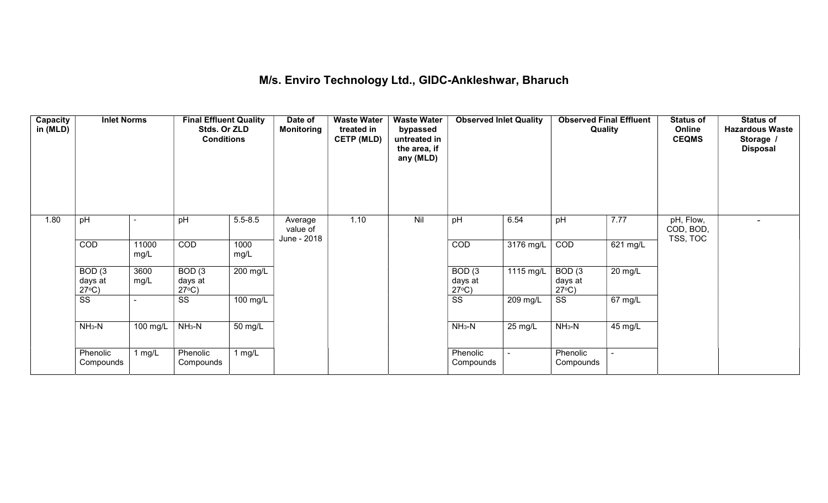## M/s. Enviro Technology Ltd., GIDC-Ankleshwar, Bharuch

| Capacity<br>in (MLD) | <b>Inlet Norms</b>                              |                       | <b>Final Effluent Quality</b><br>Stds. Or ZLD<br><b>Conditions</b> |                      | Date of<br><b>Monitoring</b>       | <b>Waste Water</b><br>treated in<br><b>CETP (MLD)</b> | <b>Waste Water</b><br>bypassed<br>untreated in<br>the area, if<br>any (MLD) | <b>Observed Inlet Quality</b>        |                   | <b>Observed Final Effluent</b><br>Quality |           | <b>Status of</b><br>Online<br><b>CEQMS</b> | <b>Status of</b><br><b>Hazardous Waste</b><br>Storage /<br><b>Disposal</b> |
|----------------------|-------------------------------------------------|-----------------------|--------------------------------------------------------------------|----------------------|------------------------------------|-------------------------------------------------------|-----------------------------------------------------------------------------|--------------------------------------|-------------------|-------------------------------------------|-----------|--------------------------------------------|----------------------------------------------------------------------------|
| 1.80                 | pH                                              |                       | pH                                                                 | $5.5 - 8.5$          | Average<br>value of<br>June - 2018 | 1.10                                                  | Nil                                                                         | pH                                   | 6.54              | pH                                        | 7.77      | pH, Flow,<br>COD, BOD,<br>TSS, TOC         |                                                                            |
|                      | COD                                             | 11000<br>mg/L         | COD                                                                | 1000<br>mg/L         |                                    |                                                       |                                                                             | COD                                  | 3176 mg/L         | COD                                       | 621 mg/L  |                                            |                                                                            |
|                      | BOD <sub>(3</sub><br>days at<br>$27^{\circ}C$ ) | 3600<br>mg/L          | BOD(3)<br>days at<br>$27^{\circ}C$ )                               | 200 mg/L             |                                    |                                                       |                                                                             | BOD(3)<br>days at<br>$27^{\circ}C$ ) | 1115 mg/L         | BOD(3)<br>days at<br>$27^{\circ}C$ )      | $20$ mg/L |                                            |                                                                            |
|                      | $\overline{\text{ss}}$                          |                       | SS                                                                 | 100 mg/L             |                                    |                                                       |                                                                             | $\overline{\text{ss}}$               | 209 mg/L          | SS                                        | 67 mg/L   |                                            |                                                                            |
|                      | $NH3-N$                                         | $\overline{100}$ mg/L | $NH3-N$                                                            | $\overline{50}$ mg/L |                                    |                                                       |                                                                             | $NH3-N$                              | $25 \text{ mg/L}$ | $NH3-N$                                   | 45 mg/L   |                                            |                                                                            |
|                      | Phenolic<br>Compounds                           | 1 mg/L                | Phenolic<br>Compounds                                              | 1 $mg/L$             |                                    |                                                       |                                                                             | Phenolic<br>Compounds                |                   | Phenolic<br>Compounds                     |           |                                            |                                                                            |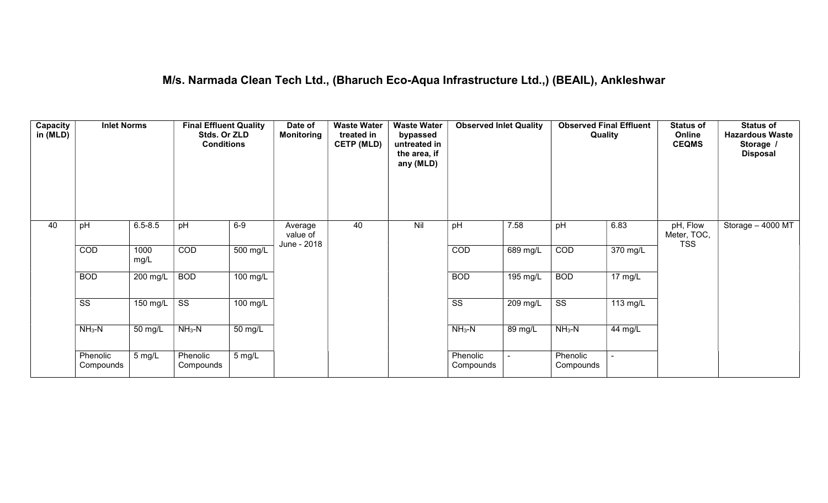#### M/s. Narmada Clean Tech Ltd., (Bharuch Eco-Aqua Infrastructure Ltd.,) (BEAIL), Ankleshwar

| Capacity<br>in (MLD) | <b>Inlet Norms</b>     |              | <b>Final Effluent Quality</b><br>Stds. Or ZLD<br><b>Conditions</b> |                       | Date of<br><b>Monitoring</b>       | <b>Waste Water</b><br>treated in<br><b>CETP (MLD)</b> | <b>Waste Water</b><br>bypassed<br>untreated in<br>the area, if<br>any (MLD) | <b>Observed Inlet Quality</b> |            | <b>Observed Final Effluent</b><br>Quality |                   | <b>Status of</b><br>Online<br><b>CEQMS</b> | <b>Status of</b><br><b>Hazardous Waste</b><br>Storage<br><b>Disposal</b> |
|----------------------|------------------------|--------------|--------------------------------------------------------------------|-----------------------|------------------------------------|-------------------------------------------------------|-----------------------------------------------------------------------------|-------------------------------|------------|-------------------------------------------|-------------------|--------------------------------------------|--------------------------------------------------------------------------|
| 40                   | pH                     | $6.5 - 8.5$  | pH                                                                 | $6-9$                 | Average<br>value of<br>June - 2018 | 40                                                    | Nil                                                                         | pH                            | 7.58       | pH                                        | 6.83              | pH, Flow<br>Meter, TOC,<br><b>TSS</b>      | Storage - 4000 MT                                                        |
|                      | COD                    | 1000<br>mg/L | COD                                                                | $\overline{500}$ mg/L |                                    |                                                       |                                                                             | COD                           | 689 mg/L   | COD                                       | 370 mg/L          |                                            |                                                                          |
|                      | <b>BOD</b>             | 200 mg/L     | <b>BOD</b>                                                         | 100 mg/L              |                                    |                                                       |                                                                             | <b>BOD</b>                    | 195 mg/L   | <b>BOD</b>                                | $17 \text{ mg/L}$ |                                            |                                                                          |
|                      | $\overline{\text{ss}}$ | $150$ mg/L   | SS                                                                 | $100$ mg/L            |                                    |                                                       |                                                                             | $\overline{\text{ss}}$        | $209$ mg/L | $\overline{\text{ss}}$                    | 113 mg/L          |                                            |                                                                          |
|                      | $NH3-N$                | 50 mg/L      | $NH3-N$                                                            | 50 mg/L               |                                    |                                                       |                                                                             | $NH3-N$                       | 89 mg/L    | $NH3-N$                                   | 44 mg/L           |                                            |                                                                          |
|                      | Phenolic<br>Compounds  | 5 mg/L       | Phenolic<br>Compounds                                              | 5 mg/L                |                                    |                                                       |                                                                             | Phenolic<br>Compounds         |            | Phenolic<br>Compounds                     |                   |                                            |                                                                          |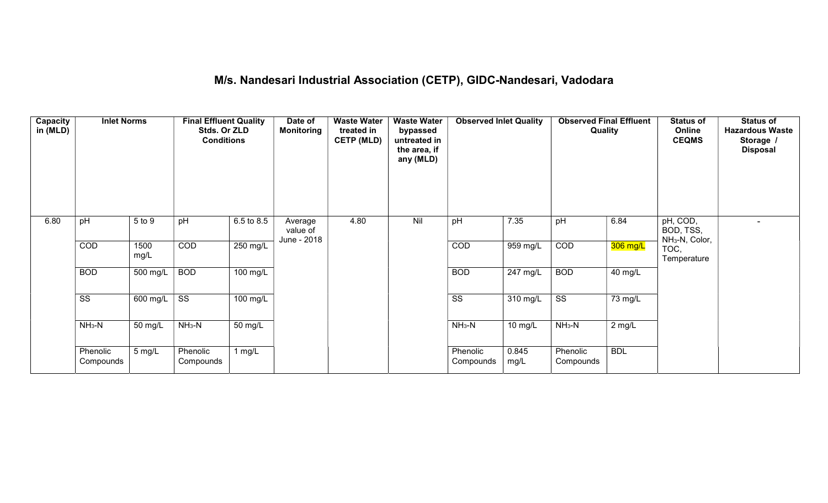# M/s. Nandesari Industrial Association (CETP), GIDC-Nandesari, Vadodara

| Capacity<br>in (MLD) | <b>Inlet Norms</b>     |              | <b>Final Effluent Quality</b><br>Stds. Or ZLD<br><b>Conditions</b> |                    | Date of<br>Monitoring              | <b>Waste Water</b><br>treated in<br><b>CETP (MLD)</b> | <b>Waste Water</b><br>bypassed<br>untreated in<br>the area, if<br>any (MLD) | <b>Observed Inlet Quality</b> |               | <b>Observed Final Effluent</b><br>Quality |            | <b>Status of</b><br>Online<br><b>CEQMS</b>          | <b>Status of</b><br><b>Hazardous Waste</b><br>Storage /<br><b>Disposal</b> |
|----------------------|------------------------|--------------|--------------------------------------------------------------------|--------------------|------------------------------------|-------------------------------------------------------|-----------------------------------------------------------------------------|-------------------------------|---------------|-------------------------------------------|------------|-----------------------------------------------------|----------------------------------------------------------------------------|
| 6.80                 | pH                     | 5 to 9       | pH                                                                 | 6.5 to 8.5         | Average<br>value of<br>June - 2018 | 4.80                                                  | Nil                                                                         | pH                            | 7.35          | pH                                        | 6.84       | pH, COD,<br>BOD, TSS,<br>NH <sub>3</sub> -N, Color, |                                                                            |
|                      | COD                    | 1500<br>mg/L | COD                                                                | 250 mg/L           |                                    |                                                       |                                                                             | COD                           | 959 mg/L      | COD                                       | 306 mg/L   | TOC,<br>Temperature                                 |                                                                            |
|                      | <b>BOD</b>             | 500 mg/L     | <b>BOD</b>                                                         | 100 mg/L           |                                    |                                                       |                                                                             | <b>BOD</b>                    | 247 mg/L      | <b>BOD</b>                                | 40 mg/L    |                                                     |                                                                            |
|                      | $\overline{\text{ss}}$ | 600 mg/L     | $\overline{\text{ss}}$                                             | $100 \text{ mg/L}$ |                                    |                                                       |                                                                             | $\overline{\text{ss}}$        | 310 mg/L      | $\overline{\text{ss}}$                    | 73 mg/L    |                                                     |                                                                            |
|                      | $NH3-N$                | 50 mg/L      | $NH3-N$                                                            | 50 mg/L            |                                    |                                                       |                                                                             | $NH_3-N$                      | 10 mg/L       | $NH3-N$                                   | 2 mg/L     |                                                     |                                                                            |
|                      | Phenolic<br>Compounds  | 5 mg/L       | Phenolic<br>Compounds                                              | 1 mg/L             |                                    |                                                       |                                                                             | Phenolic<br>Compounds         | 0.845<br>mg/L | Phenolic<br>Compounds                     | <b>BDL</b> |                                                     |                                                                            |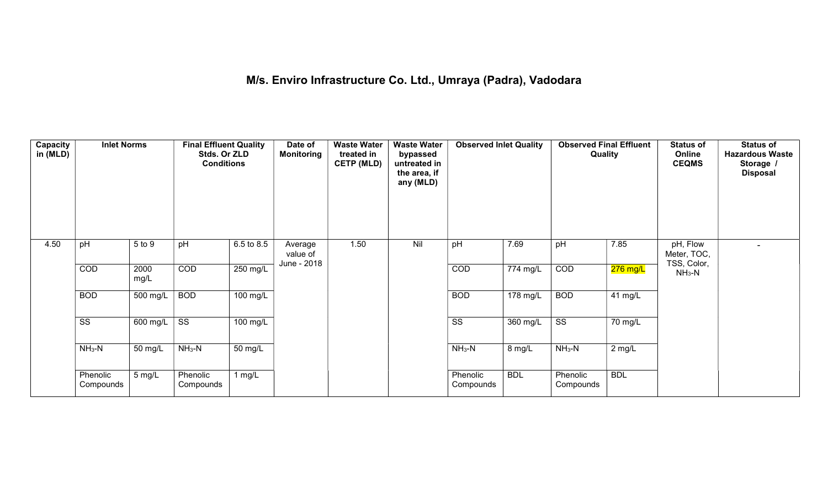# M/s. Enviro Infrastructure Co. Ltd., Umraya (Padra), Vadodara

| Capacity<br>in (MLD) | <b>Inlet Norms</b>     |              | <b>Final Effluent Quality</b><br>Stds. Or ZLD<br><b>Conditions</b> |                    | Date of<br>Monitoring              | <b>Waste Water</b><br>treated in<br><b>CETP (MLD)</b> | <b>Waste Water</b><br>bypassed<br>untreated in<br>the area, if<br>any (MLD) | <b>Observed Inlet Quality</b> |                       | <b>Observed Final Effluent</b><br>Quality |            | <b>Status of</b><br>Online<br><b>CEQMS</b> | <b>Status of</b><br><b>Hazardous Waste</b><br>Storage /<br><b>Disposal</b> |
|----------------------|------------------------|--------------|--------------------------------------------------------------------|--------------------|------------------------------------|-------------------------------------------------------|-----------------------------------------------------------------------------|-------------------------------|-----------------------|-------------------------------------------|------------|--------------------------------------------|----------------------------------------------------------------------------|
| 4.50                 | pH                     | 5 to 9       | pH                                                                 | 6.5 to 8.5         | Average<br>value of<br>June - 2018 | 1.50                                                  | Nil                                                                         | pH                            | 7.69                  | pH                                        | 7.85       | pH, Flow<br>Meter, TOC,<br>TSS, Color,     |                                                                            |
|                      | COD                    | 2000<br>mg/L | COD                                                                | 250 mg/L           |                                    |                                                       |                                                                             | COD                           | 774 mg/L              | COD                                       | $276$ mg/L | $NH3-N$                                    |                                                                            |
|                      | <b>BOD</b>             | 500 mg/L     | <b>BOD</b>                                                         | $100$ mg/L         |                                    |                                                       |                                                                             | <b>BOD</b>                    | $178 \text{ mg/L}$    | <b>BOD</b>                                | 41 $mg/L$  |                                            |                                                                            |
|                      | $\overline{\text{ss}}$ | 600 mg/L     | $\overline{\text{ss}}$                                             | $100 \text{ mg/L}$ |                                    |                                                       |                                                                             | $\overline{\text{ss}}$        | $\overline{360}$ mg/L | $\overline{\text{ss}}$                    | 70 mg/L    |                                            |                                                                            |
|                      | $NH3-N$                | 50 mg/L      | $NH_3-N$                                                           | 50 mg/L            |                                    |                                                       |                                                                             | $NH3-N$                       | 8 mg/L                | $NH3-N$                                   | $2$ mg/L   |                                            |                                                                            |
|                      | Phenolic<br>Compounds  | 5 mg/L       | Phenolic<br>Compounds                                              | 1 $mg/L$           |                                    |                                                       |                                                                             | Phenolic<br>Compounds         | <b>BDL</b>            | Phenolic<br>Compounds                     | <b>BDL</b> |                                            |                                                                            |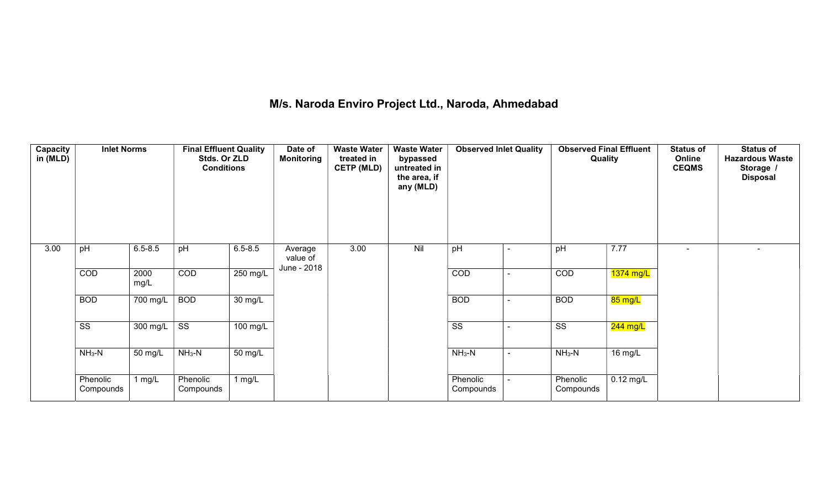## M/s. Naroda Enviro Project Ltd., Naroda, Ahmedabad

| Capacity<br>in (MLD) | <b>Inlet Norms</b>     |              | <b>Final Effluent Quality</b><br>Stds. Or ZLD<br><b>Conditions</b> |                      | Date of<br><b>Monitoring</b>       | <b>Waste Water</b><br>treated in<br><b>CETP (MLD)</b> | <b>Waste Water</b><br>bypassed<br>untreated in<br>the area, if<br>any (MLD) | <b>Observed Inlet Quality</b> | <b>Observed Final Effluent</b><br>Quality |             | <b>Status of</b><br>Online<br><b>CEQMS</b> | <b>Status of</b><br><b>Hazardous Waste</b><br>Storage /<br><b>Disposal</b> |
|----------------------|------------------------|--------------|--------------------------------------------------------------------|----------------------|------------------------------------|-------------------------------------------------------|-----------------------------------------------------------------------------|-------------------------------|-------------------------------------------|-------------|--------------------------------------------|----------------------------------------------------------------------------|
| 3.00                 | pH                     | $6.5 - 8.5$  | pH                                                                 | $6.5 - 8.5$          | Average<br>value of<br>June - 2018 | 3.00                                                  | Nil                                                                         | pH                            | pH                                        | 7.77        | $\overline{\phantom{0}}$                   |                                                                            |
|                      | COD                    | 2000<br>mg/L | COD                                                                | 250 mg/L             |                                    |                                                       |                                                                             | COD                           | COD                                       | 1374 mg/L   |                                            |                                                                            |
|                      | <b>BOD</b>             | 700 mg/L     | <b>BOD</b>                                                         | $\overline{30}$ mg/L |                                    |                                                       |                                                                             | <b>BOD</b>                    | <b>BOD</b>                                | 85 mg/L     |                                            |                                                                            |
|                      | $\overline{\text{ss}}$ | 300 mg/L     | $\overline{\text{ss}}$                                             | 100 mg/L             |                                    |                                                       |                                                                             | $\overline{\text{ss}}$        | $\overline{\text{ss}}$                    | $244$ mg/L  |                                            |                                                                            |
|                      | $NH3-N$                | 50 mg/L      | $NH3-N$                                                            | 50 mg/L              |                                    |                                                       |                                                                             | $NH3-N$                       | $NH3-N$                                   | 16 mg/L     |                                            |                                                                            |
|                      | Phenolic<br>Compounds  | 1 $mg/L$     | Phenolic<br>Compounds                                              | 1 $mg/L$             |                                    |                                                       |                                                                             | Phenolic<br>Compounds         | Phenolic<br>Compounds                     | $0.12$ mg/L |                                            |                                                                            |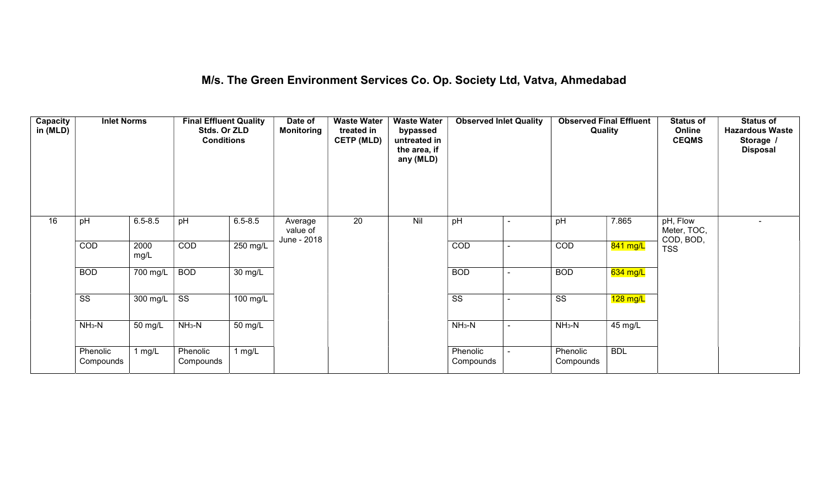## M/s. The Green Environment Services Co. Op. Society Ltd, Vatva, Ahmedabad

| Capacity<br>in (MLD) | <b>Inlet Norms</b>     |              | <b>Final Effluent Quality</b><br>Stds. Or ZLD<br><b>Conditions</b> |                       | Date of<br>Monitoring              | <b>Waste Water</b><br>treated in<br><b>CETP (MLD)</b> | <b>Waste Water</b><br>bypassed<br>untreated in<br>the area, if<br>any (MLD) | <b>Observed Inlet Quality</b> |                | <b>Observed Final Effluent</b><br>Quality |            | <b>Status of</b><br>Online<br><b>CEQMS</b> | <b>Status of</b><br><b>Hazardous Waste</b><br>Storage /<br><b>Disposal</b> |
|----------------------|------------------------|--------------|--------------------------------------------------------------------|-----------------------|------------------------------------|-------------------------------------------------------|-----------------------------------------------------------------------------|-------------------------------|----------------|-------------------------------------------|------------|--------------------------------------------|----------------------------------------------------------------------------|
| 16                   | pH                     | $6.5 - 8.5$  | pH                                                                 | $6.5 - 8.5$           | Average<br>value of<br>June - 2018 | $\overline{20}$                                       | Nil                                                                         | pH                            |                | pH                                        | 7.865      | pH, Flow<br>Meter, TOC,<br>COD, BOD,       | $\overline{\phantom{0}}$                                                   |
|                      | COD                    | 2000<br>mg/L | COD                                                                | 250 mg/L              |                                    |                                                       |                                                                             | COD                           |                | COD                                       | 841 mg/L   | <b>TSS</b>                                 |                                                                            |
|                      | <b>BOD</b>             | 700 mg/L     | <b>BOD</b>                                                         | 30 mg/L               |                                    |                                                       |                                                                             | <b>BOD</b>                    | $\blacksquare$ | <b>BOD</b>                                | $634$ mg/L |                                            |                                                                            |
|                      | $\overline{\text{ss}}$ | 300 mg/L     | $\overline{\text{ss}}$                                             | $\overline{100}$ mg/L |                                    |                                                       |                                                                             | $\overline{\text{ss}}$        |                | $\overline{\text{ss}}$                    | $128$ mg/L |                                            |                                                                            |
|                      | $NH3-N$                | 50 mg/L      | $NH3-N$                                                            | 50 mg/L               |                                    |                                                       |                                                                             | $NH3-N$                       | $\blacksquare$ | $NH3-N$                                   | 45 mg/L    |                                            |                                                                            |
|                      | Phenolic<br>Compounds  | 1 mg/L       | Phenolic<br>Compounds                                              | 1 $mg/L$              |                                    |                                                       |                                                                             | Phenolic<br>Compounds         |                | Phenolic<br>Compounds                     | <b>BDL</b> |                                            |                                                                            |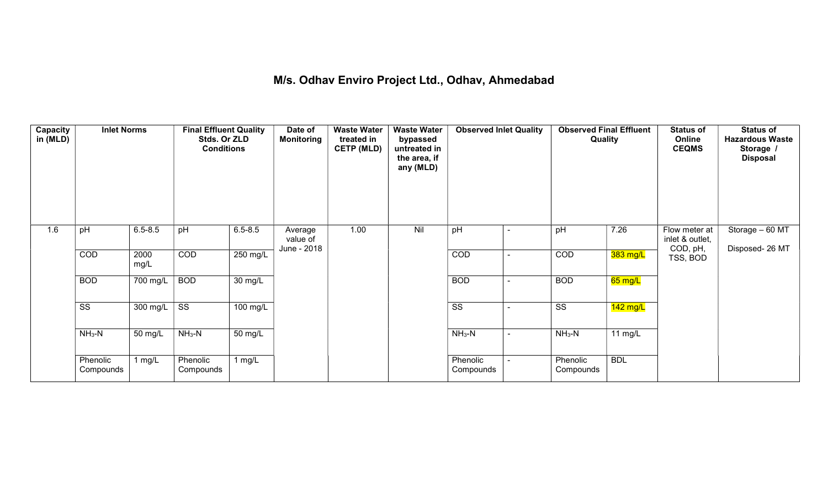## M/s. Odhav Enviro Project Ltd., Odhav, Ahmedabad

| Capacity<br>in (MLD) | <b>Inlet Norms</b>     |                              | <b>Final Effluent Quality</b><br>Stds. Or ZLD<br><b>Conditions</b> |             | Date of<br><b>Monitoring</b>       | <b>Waste Water</b><br>treated in<br><b>CETP (MLD)</b> | <b>Waste Water</b><br>bypassed<br>untreated in<br>the area, if<br>any (MLD) | <b>Observed Inlet Quality</b> |                          | <b>Observed Final Effluent</b><br>Quality |            | <b>Status of</b><br>Online<br><b>CEQMS</b>   | <b>Status of</b><br><b>Hazardous Waste</b><br>Storage /<br><b>Disposal</b> |
|----------------------|------------------------|------------------------------|--------------------------------------------------------------------|-------------|------------------------------------|-------------------------------------------------------|-----------------------------------------------------------------------------|-------------------------------|--------------------------|-------------------------------------------|------------|----------------------------------------------|----------------------------------------------------------------------------|
| 1.6                  | pH                     | $6.5 - 8.5$                  | pH                                                                 | $6.5 - 8.5$ | Average<br>value of<br>June - 2018 | 1.00                                                  | Nil                                                                         | pH                            | $\overline{\phantom{0}}$ | pH                                        | 7.26       | Flow meter at<br>inlet & outlet,<br>COD, pH, | Storage $-60$ MT<br>Disposed- 26 MT                                        |
|                      | COD                    | 2000<br>mg/L                 | COD                                                                | 250 mg/L    |                                    |                                                       |                                                                             | COD                           | $\sim$                   | COD                                       | $383$ mg/L | TSS, BOD                                     |                                                                            |
|                      | <b>BOD</b>             | 700 mg/L                     | <b>BOD</b>                                                         | 30 mg/L     |                                    |                                                       |                                                                             | <b>BOD</b>                    | $\blacksquare$           | <b>BOD</b>                                | $65$ mg/L  |                                              |                                                                            |
|                      | $\overline{\text{ss}}$ | $300 \overline{\text{mg/L}}$ | $\overline{\text{ss}}$                                             | 100 mg/L    |                                    |                                                       |                                                                             | $\overline{\text{ss}}$        | $\blacksquare$           | $\overline{\text{ss}}$                    | $142$ mg/L |                                              |                                                                            |
|                      | $NH3-N$                | 50 mg/L                      | $NH3-N$                                                            | 50 mg/L     |                                    |                                                       |                                                                             | $NH3-N$                       | $\blacksquare$           | $NH3-N$                                   | 11 $mg/L$  |                                              |                                                                            |
|                      | Phenolic<br>Compounds  | 1 $mg/L$                     | Phenolic<br>Compounds                                              | 1 $mg/L$    |                                    |                                                       |                                                                             | Phenolic<br>Compounds         | $\blacksquare$           | Phenolic<br>Compounds                     | <b>BDL</b> |                                              |                                                                            |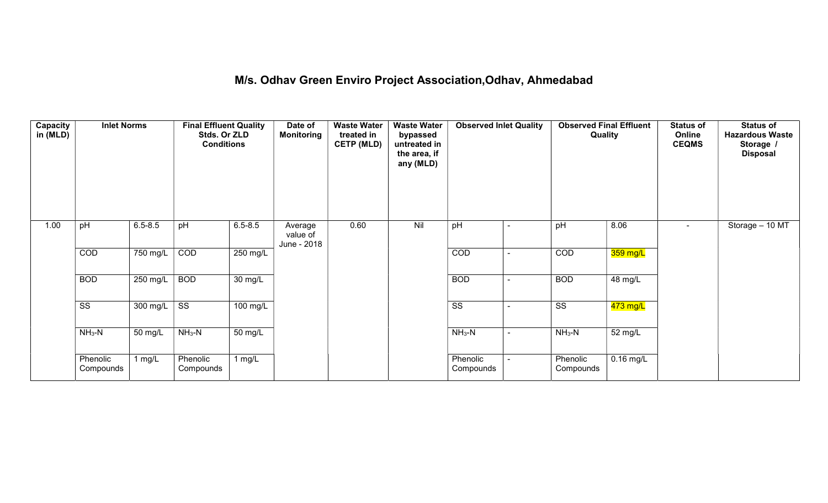## M/s. Odhav Green Enviro Project Association,Odhav, Ahmedabad

| Capacity<br>in (MLD) | <b>Inlet Norms</b>     |                  | <b>Final Effluent Quality</b><br>Stds. Or ZLD<br><b>Conditions</b> |                      | Date of<br><b>Monitoring</b>       | <b>Waste Water</b><br>treated in<br><b>CETP (MLD)</b> | <b>Waste Water</b><br>bypassed<br>untreated in<br>the area, if<br>any (MLD) | <b>Observed Inlet Quality</b> | <b>Observed Final Effluent</b><br>Quality |                      | <b>Status of</b><br>Online<br><b>CEQMS</b> | <b>Status of</b><br><b>Hazardous Waste</b><br>Storage /<br><b>Disposal</b> |
|----------------------|------------------------|------------------|--------------------------------------------------------------------|----------------------|------------------------------------|-------------------------------------------------------|-----------------------------------------------------------------------------|-------------------------------|-------------------------------------------|----------------------|--------------------------------------------|----------------------------------------------------------------------------|
| 1.00                 | pH                     | $6.5 - 8.5$      | pH                                                                 | $6.5 - 8.5$          | Average<br>value of<br>June - 2018 | 0.60                                                  | Nil                                                                         | pH                            | pH                                        | 8.06                 | $\overline{\phantom{a}}$                   | Storage - 10 MT                                                            |
|                      | COD                    | 750 mg/L         | COD                                                                | 250 mg/L             |                                    |                                                       |                                                                             | COD                           | COD                                       | 359 mg/L             |                                            |                                                                            |
|                      | <b>BOD</b>             | 250 mg/L         | <b>BOD</b>                                                         | $\overline{30}$ mg/L |                                    |                                                       |                                                                             | <b>BOD</b>                    | <b>BOD</b>                                | 48 mg/L              |                                            |                                                                            |
|                      | $\overline{\text{ss}}$ | 300 mg/L $\vert$ | $\overline{\text{ss}}$                                             | 100 mg/L             |                                    |                                                       |                                                                             | $\overline{\text{ss}}$        | $\overline{\text{ss}}$                    | 473 mg/L             |                                            |                                                                            |
|                      | $NH3-N$                | 50 mg/L          | $NH3-N$                                                            | $\overline{50}$ mg/L |                                    |                                                       |                                                                             | $NH3-N$                       | $NH3-N$                                   | $\overline{52}$ mg/L |                                            |                                                                            |
|                      | Phenolic<br>Compounds  | $1$ mg/L         | Phenolic<br>Compounds                                              | 1 $mg/L$             |                                    |                                                       |                                                                             | Phenolic<br>Compounds         | Phenolic<br>Compounds                     | $0.16$ mg/L          |                                            |                                                                            |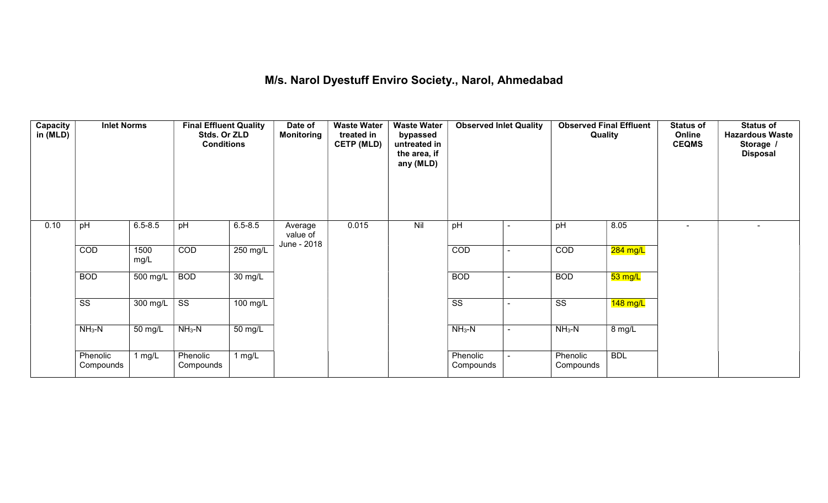## M/s. Narol Dyestuff Enviro Society., Narol, Ahmedabad

| Capacity<br>in (MLD) | <b>Inlet Norms</b>     |              | <b>Final Effluent Quality</b><br>Stds. Or ZLD<br><b>Conditions</b> |                      | Date of<br><b>Monitoring</b>       | <b>Waste Water</b><br>treated in<br><b>CETP (MLD)</b> | <b>Waste Water</b><br>bypassed<br>untreated in<br>the area, if<br>any (MLD) | <b>Observed Inlet Quality</b> |        | <b>Observed Final Effluent</b><br>Quality |            | <b>Status of</b><br>Online<br><b>CEQMS</b> | <b>Status of</b><br><b>Hazardous Waste</b><br>Storage /<br><b>Disposal</b> |
|----------------------|------------------------|--------------|--------------------------------------------------------------------|----------------------|------------------------------------|-------------------------------------------------------|-----------------------------------------------------------------------------|-------------------------------|--------|-------------------------------------------|------------|--------------------------------------------|----------------------------------------------------------------------------|
| 0.10                 | pH                     | $6.5 - 8.5$  | pH                                                                 | $6.5 - 8.5$          | Average<br>value of<br>June - 2018 | 0.015                                                 | Nil                                                                         | pH                            | ۰      | pH                                        | 8.05       |                                            |                                                                            |
|                      | COD                    | 1500<br>mg/L | COD                                                                | 250 mg/L             |                                    |                                                       |                                                                             | COD                           | ۰      | COD                                       | $284$ mg/L |                                            |                                                                            |
|                      | <b>BOD</b>             | 500 mg/L     | <b>BOD</b>                                                         | $\overline{30}$ mg/L |                                    |                                                       |                                                                             | <b>BOD</b>                    | $\sim$ | <b>BOD</b>                                | 53 mg/L    |                                            |                                                                            |
|                      | $\overline{\text{ss}}$ | 300 mg/L     | $\overline{\text{ss}}$                                             | $100$ mg/L           |                                    |                                                       |                                                                             | $\overline{\text{SS}}$        | $\sim$ | $\overline{\text{ss}}$                    | $148$ mg/L |                                            |                                                                            |
|                      | $NH3-N$                | 50 mg/L      | $NH_3-N$                                                           | 50 mg/L              |                                    |                                                       |                                                                             | $NH_3-N$                      | $\sim$ | $NH_3-N$                                  | 8 mg/L     |                                            |                                                                            |
|                      | Phenolic<br>Compounds  | 1 $mg/L$     | Phenolic<br>Compounds                                              | 1 $mg/L$             |                                    |                                                       |                                                                             | Phenolic<br>Compounds         |        | Phenolic<br>Compounds                     | <b>BDL</b> |                                            |                                                                            |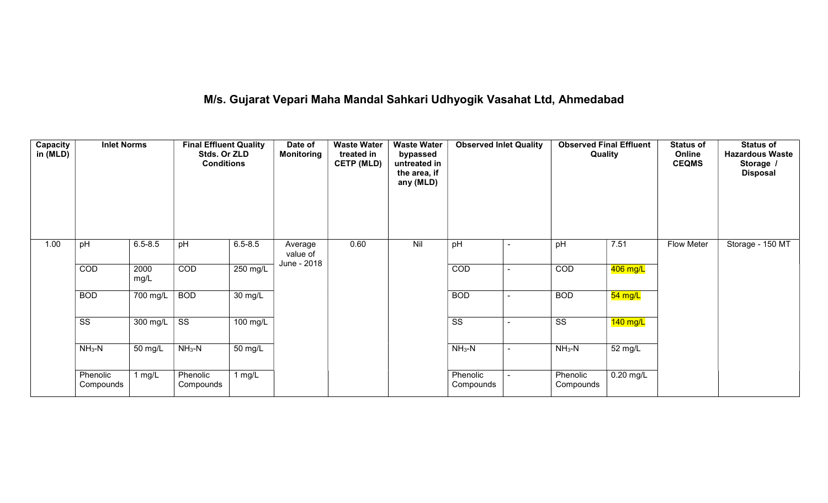# M/s. Gujarat Vepari Maha Mandal Sahkari Udhyogik Vasahat Ltd, Ahmedabad

| Capacity<br>in (MLD) | <b>Inlet Norms</b>     |              | <b>Final Effluent Quality</b><br>Stds. Or ZLD<br><b>Conditions</b> |                      | Date of<br><b>Monitoring</b> | <b>Waste Water</b><br>treated in<br><b>CETP (MLD)</b> | <b>Waste Water</b><br>bypassed<br>untreated in<br>the area, if<br>any (MLD) | <b>Observed Inlet Quality</b> | <b>Quality</b>        | <b>Observed Final Effluent</b> | <b>Status of</b><br>Online<br><b>CEQMS</b> | <b>Status of</b><br><b>Hazardous Waste</b><br>Storage<br><b>Disposal</b> |
|----------------------|------------------------|--------------|--------------------------------------------------------------------|----------------------|------------------------------|-------------------------------------------------------|-----------------------------------------------------------------------------|-------------------------------|-----------------------|--------------------------------|--------------------------------------------|--------------------------------------------------------------------------|
| 1.00                 | pH                     | $6.5 - 8.5$  | pH                                                                 | $6.5 - 8.5$          | Average<br>value of          | 0.60                                                  | Nil                                                                         | pH                            | pH                    | 7.51                           | <b>Flow Meter</b>                          | Storage - 150 MT                                                         |
|                      | COD                    | 2000<br>mg/L | COD                                                                | 250 mg/L             | June - 2018                  |                                                       |                                                                             | COD                           | COD                   | 406 mg/L                       |                                            |                                                                          |
|                      | <b>BOD</b>             | 700 mg/L     | <b>BOD</b>                                                         | $\overline{30}$ mg/L |                              |                                                       |                                                                             | <b>BOD</b>                    | <b>BOD</b>            | $54 \text{ mg/L}$              |                                            |                                                                          |
|                      | $\overline{\text{ss}}$ | 300 mg/L     | $\overline{\text{ss}}$                                             | 100 mg/L             |                              |                                                       |                                                                             | $\overline{\text{ss}}$        | SS                    | $\overline{140}$ mg/L          |                                            |                                                                          |
|                      | $NH3-N$                | 50 mg/L      | $NH3-N$                                                            | 50 mg/L              |                              |                                                       |                                                                             | $NH3-N$                       | $NH3-N$               | 52 mg/L                        |                                            |                                                                          |
|                      | Phenolic<br>Compounds  | 1 $mg/L$     | Phenolic<br>Compounds                                              | $1$ mg/L             |                              |                                                       |                                                                             | Phenolic<br>Compounds         | Phenolic<br>Compounds | $0.20$ mg/L                    |                                            |                                                                          |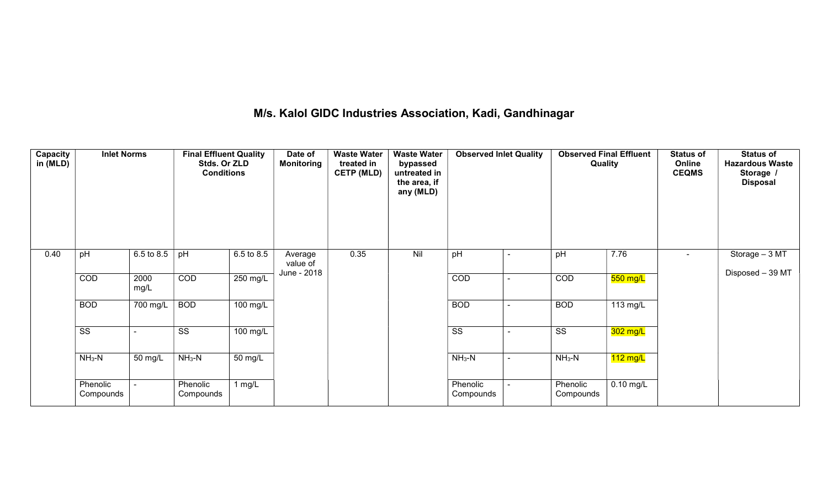## M/s. Kalol GIDC Industries Association, Kadi, Gandhinagar

| Capacity<br>in (MLD) | <b>Inlet Norms</b>     |                       | <b>Final Effluent Quality</b><br>Stds. Or ZLD<br><b>Conditions</b> |                      | Date of<br><b>Monitoring</b>       | <b>Waste Water</b><br>treated in<br><b>CETP (MLD)</b> | <b>Waste Water</b><br>bypassed<br>untreated in<br>the area, if<br>any (MLD) | <b>Observed Inlet Quality</b> |                          | <b>Observed Final Effluent</b><br>Quality |             | <b>Status of</b><br>Online<br><b>CEQMS</b> | <b>Status of</b><br><b>Hazardous Waste</b><br>Storage /<br><b>Disposal</b> |
|----------------------|------------------------|-----------------------|--------------------------------------------------------------------|----------------------|------------------------------------|-------------------------------------------------------|-----------------------------------------------------------------------------|-------------------------------|--------------------------|-------------------------------------------|-------------|--------------------------------------------|----------------------------------------------------------------------------|
| 0.40                 | pH                     | $6.5 \text{ to } 8.5$ | pH                                                                 | 6.5 to 8.5           | Average<br>value of<br>June - 2018 | 0.35                                                  | Nil                                                                         | pH                            | $\overline{\phantom{a}}$ | pH                                        | 7.76        |                                            | Storage - 3 MT<br>Disposed - 39 MT                                         |
|                      | COD                    | 2000<br>mg/L          | COD                                                                | 250 mg/L             |                                    |                                                       |                                                                             | COD                           | $\blacksquare$           | COD                                       | $550$ mg/L  |                                            |                                                                            |
|                      | <b>BOD</b>             | 700 mg/L              | <b>BOD</b>                                                         | 100 mg/L             |                                    |                                                       |                                                                             | <b>BOD</b>                    | $\blacksquare$           | <b>BOD</b>                                | 113 mg/L    |                                            |                                                                            |
|                      | $\overline{\text{SS}}$ |                       | $\overline{\text{SS}}$                                             | 100 mg/L             |                                    |                                                       |                                                                             | $\overline{\text{ss}}$        | $\overline{\phantom{a}}$ | $\overline{\text{ss}}$                    | $302$ mg/L  |                                            |                                                                            |
|                      | $NH3-N$                | 50 mg/L               | $NH3-N$                                                            | $\overline{50}$ mg/L |                                    |                                                       |                                                                             | $NH3-N$                       | $\blacksquare$           | $NH3-N$                                   | $112$ mg/L  |                                            |                                                                            |
|                      | Phenolic<br>Compounds  |                       | Phenolic<br>Compounds                                              | 1 $mg/L$             |                                    |                                                       |                                                                             | Phenolic<br>Compounds         |                          | Phenolic<br>Compounds                     | $0.10$ mg/L |                                            |                                                                            |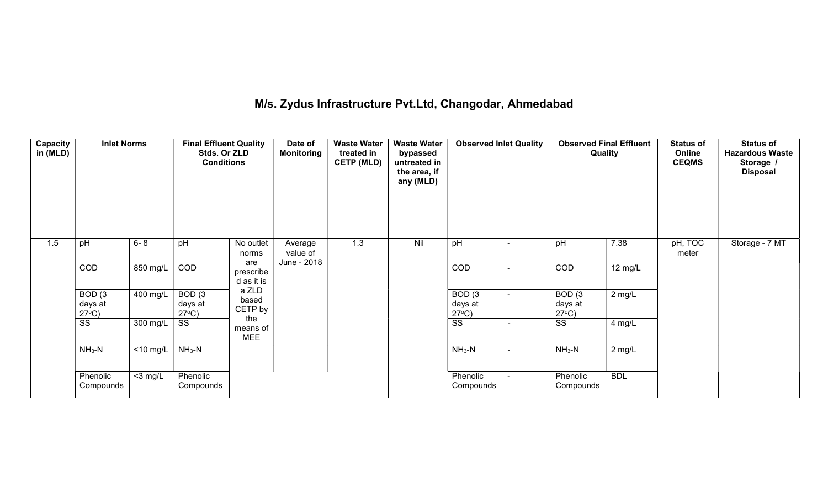## M/s. Zydus Infrastructure Pvt.Ltd, Changodar, Ahmedabad

| Capacity<br>in (MLD) | <b>Inlet Norms</b>                   |                      | <b>Final Effluent Quality</b><br>Stds. Or ZLD<br><b>Conditions</b> |                                | Date of<br><b>Monitoring</b> | <b>Waste Water</b><br>treated in<br><b>CETP (MLD)</b> | <b>Waste Water</b><br>bypassed<br>untreated in<br>the area, if<br>any (MLD) | <b>Observed Inlet Quality</b>        | <b>Observed Final Effluent</b><br>Quality |            | <b>Status of</b><br>Online<br><b>CEQMS</b> | <b>Status of</b><br><b>Hazardous Waste</b><br>Storage /<br><b>Disposal</b> |
|----------------------|--------------------------------------|----------------------|--------------------------------------------------------------------|--------------------------------|------------------------------|-------------------------------------------------------|-----------------------------------------------------------------------------|--------------------------------------|-------------------------------------------|------------|--------------------------------------------|----------------------------------------------------------------------------|
| 1.5                  | pH                                   | $6 - 8$              | pH                                                                 | No outlet<br>norms             | Average<br>value of          | 1.3                                                   | Nil                                                                         | pH                                   | pH                                        | 7.38       | $pH, \overline{TOC}$<br>meter              | Storage - 7 MT                                                             |
|                      | COD                                  | 850 mg/L             | COD                                                                | are<br>prescribe<br>d as it is | June - 2018                  |                                                       |                                                                             | COD                                  | COD                                       | 12 mg/L    |                                            |                                                                            |
|                      | BOD(3)<br>days at<br>$27^{\circ}C$ ) | 400 mg/L             | BOD(3)<br>days at<br>$27^{\circ}C$ )                               | a ZLD<br>based<br>CETP by      |                              |                                                       |                                                                             | BOD(3)<br>days at<br>$27^{\circ}C$ ) | BOD(3)<br>days at<br>$27^{\circ}C$ )      | $2$ mg/L   |                                            |                                                                            |
|                      | SS                                   | 300 mg/L             | SS                                                                 | the<br>means of<br><b>MEE</b>  |                              |                                                       |                                                                             | SS                                   | SS                                        | $4$ mg/L   |                                            |                                                                            |
|                      | $NH3-N$                              | $\overline{10}$ mg/L | $NH_3-N$                                                           |                                |                              |                                                       |                                                                             | $NH3-N$                              | $NH3-N$                                   | $2$ mg/L   |                                            |                                                                            |
|                      | Phenolic<br>Compounds                | $<$ 3 mg/L           | Phenolic<br>Compounds                                              |                                |                              |                                                       |                                                                             | Phenolic<br>Compounds                | Phenolic<br>Compounds                     | <b>BDL</b> |                                            |                                                                            |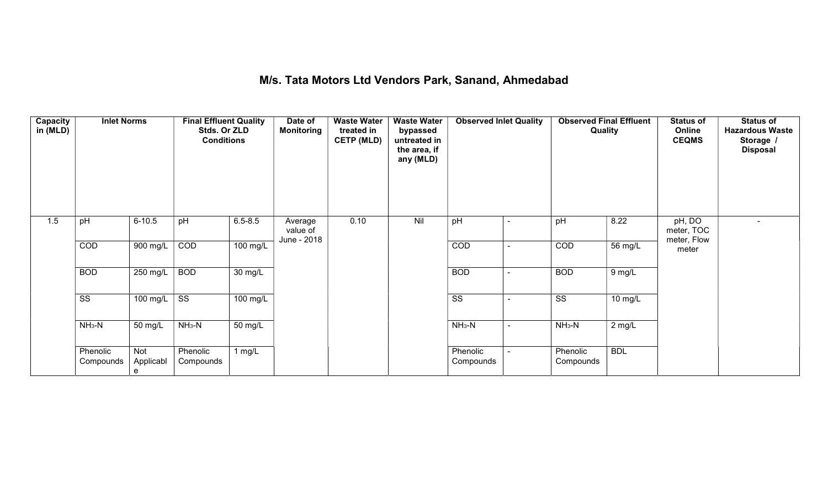#### M/s. Tata Motors Ltd Vendors Park, Sanand, Ahmedabad

| Capacity<br>in (MLD) | <b>Inlet Norms</b>     |                       | <b>Final Effluent Quality</b><br>Stds. Or ZLD<br><b>Conditions</b> |                   | Date of<br><b>Monitoring</b> | <b>Waste Water</b><br>treated in<br><b>CETP (MLD)</b> | <b>Waste Water</b><br>bypassed<br>untreated in<br>the area, if<br>any (MLD) | <b>Observed Inlet Quality</b> |                | <b>Observed Final Effluent</b><br>Quality |            | <b>Status of</b><br>Online<br><b>CEQMS</b> | <b>Status of</b><br><b>Hazardous Waste</b><br>Storage /<br><b>Disposal</b> |
|----------------------|------------------------|-----------------------|--------------------------------------------------------------------|-------------------|------------------------------|-------------------------------------------------------|-----------------------------------------------------------------------------|-------------------------------|----------------|-------------------------------------------|------------|--------------------------------------------|----------------------------------------------------------------------------|
| 1.5                  | pH                     | $6 - 10.5$            | pH                                                                 | $6.5 - 8.5$       | Average<br>value of          | 0.10                                                  | Nil                                                                         | pH                            |                | pH                                        | 8.22       | pH, DO<br>meter, TOC                       | $\sim$                                                                     |
|                      | COD                    | 900 mg/L              | COD                                                                | 100 mg/L          | June - 2018                  |                                                       |                                                                             | COD                           |                | COD                                       | 56 mg/L    | meter, Flow<br>meter                       |                                                                            |
|                      | <b>BOD</b>             | 250 mg/L              | <b>BOD</b>                                                         | $30 \text{ mg/L}$ |                              |                                                       |                                                                             | <b>BOD</b>                    |                | <b>BOD</b>                                | 9 mg/L     |                                            |                                                                            |
|                      | $\overline{\text{ss}}$ | 100 mg/L              | $\overline{\text{SS}}$                                             | 100 mg/L          |                              |                                                       |                                                                             | $\overline{\text{ss}}$        |                | $\overline{\text{ss}}$                    | 10 mg/L    |                                            |                                                                            |
|                      | $NH_3-N$               | 50 mg/L               | $NH3-N$                                                            | 50 mg/L           |                              |                                                       |                                                                             | $NH3-N$                       | $\blacksquare$ | $NH3-N$                                   | $2$ mg/L   |                                            |                                                                            |
|                      | Phenolic<br>Compounds  | Not<br>Applicabl<br>e | Phenolic<br>Compounds                                              | 1 $mg/L$          |                              |                                                       |                                                                             | Phenolic<br>Compounds         |                | Phenolic<br>Compounds                     | <b>BDL</b> |                                            |                                                                            |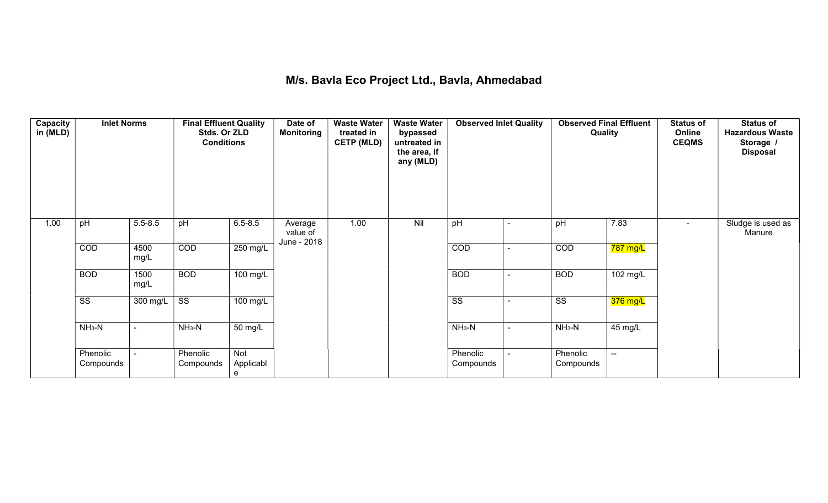## M/s. Bavla Eco Project Ltd., Bavla, Ahmedabad

| Capacity<br>in (MLD) | <b>Inlet Norms</b>     |                | <b>Final Effluent Quality</b><br>Stds. Or ZLD<br><b>Conditions</b> |                              | Date of<br><b>Monitoring</b> | <b>Waste Water</b><br>treated in<br><b>CETP (MLD)</b> | <b>Waste Water</b><br>bypassed<br>untreated in<br>the area, if<br>any (MLD) | <b>Observed Inlet Quality</b> |                          | <b>Observed Final Effluent</b><br>Quality |                          | <b>Status of</b><br>Online<br><b>CEQMS</b> | <b>Status of</b><br><b>Hazardous Waste</b><br>Storage /<br><b>Disposal</b> |
|----------------------|------------------------|----------------|--------------------------------------------------------------------|------------------------------|------------------------------|-------------------------------------------------------|-----------------------------------------------------------------------------|-------------------------------|--------------------------|-------------------------------------------|--------------------------|--------------------------------------------|----------------------------------------------------------------------------|
| 1.00                 | pH                     | $5.5 - 8.5$    | pH                                                                 | $6.5 - 8.5$                  | Average<br>value of          | 1.00                                                  | Nil                                                                         | pH                            | $\blacksquare$           | pH                                        | 7.83                     | $\blacksquare$                             | Sludge is used as<br>Manure                                                |
|                      | COD                    | 4500<br>mg/L   | COD                                                                | 250 mg/L                     | June - 2018                  |                                                       |                                                                             | COD                           | $\blacksquare$           | COD                                       | 787 mg/L                 |                                            |                                                                            |
|                      | <b>BOD</b>             | 1500<br>mg/L   | <b>BOD</b>                                                         | $100$ mg/L                   |                              |                                                       |                                                                             | <b>BOD</b>                    | $\blacksquare$           | <b>BOD</b>                                | 102 mg/L                 |                                            |                                                                            |
|                      | $\overline{\text{ss}}$ | 300 mg/L       | $\overline{\text{ss}}$                                             | 100 mg/L                     |                              |                                                       |                                                                             | $\overline{\text{ss}}$        | $\overline{\phantom{a}}$ | $\overline{\text{ss}}$                    | 376 mg/L                 |                                            |                                                                            |
|                      | $NH3-N$                | $\blacksquare$ | $NH3-N$                                                            | 50 mg/L                      |                              |                                                       |                                                                             | $NH3-N$                       | $\sim$                   | $NH3-N$                                   | 45 mg/L                  |                                            |                                                                            |
|                      | Phenolic<br>Compounds  |                | Phenolic<br>Compounds                                              | <b>Not</b><br>Applicabl<br>e |                              |                                                       |                                                                             | Phenolic<br>Compounds         |                          | Phenolic<br>Compounds                     | $\overline{\phantom{a}}$ |                                            |                                                                            |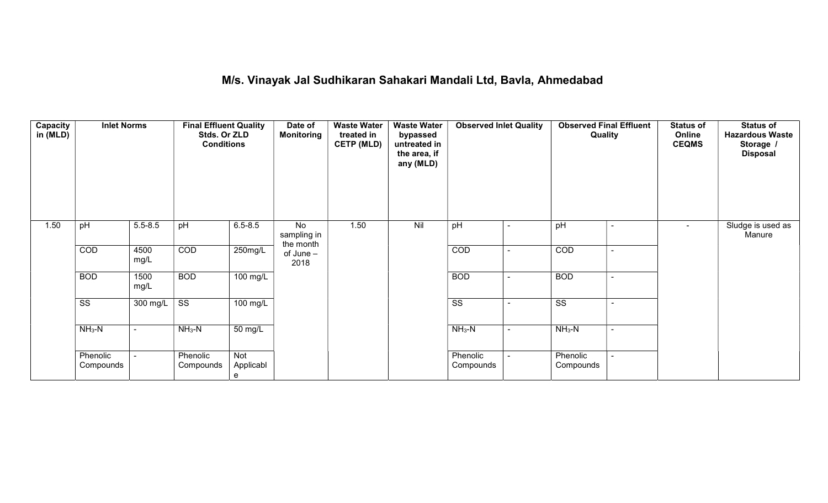# M/s. Vinayak Jal Sudhikaran Sahakari Mandali Ltd, Bavla, Ahmedabad

| Capacity<br>in (MLD) | <b>Inlet Norms</b>     |                       | <b>Final Effluent Quality</b><br>Stds. Or ZLD<br><b>Conditions</b> |                       | Date of<br><b>Monitoring</b>   | <b>Waste Water</b><br>treated in<br><b>CETP (MLD)</b> | <b>Waste Water</b><br>bypassed<br>untreated in<br>the area, if<br>any (MLD) | <b>Observed Inlet Quality</b> |                          | <b>Observed Final Effluent</b><br>Quality |                          | <b>Status of</b><br>Online<br><b>CEQMS</b> | <b>Status of</b><br><b>Hazardous Waste</b><br>Storage /<br><b>Disposal</b> |
|----------------------|------------------------|-----------------------|--------------------------------------------------------------------|-----------------------|--------------------------------|-------------------------------------------------------|-----------------------------------------------------------------------------|-------------------------------|--------------------------|-------------------------------------------|--------------------------|--------------------------------------------|----------------------------------------------------------------------------|
| 1.50                 | pH                     | $5.5 - 8.5$           | pH                                                                 | $6.5 - 8.5$           | No<br>sampling in              | 1.50                                                  | Nil                                                                         | pH                            | $\overline{\phantom{a}}$ | pH                                        | ۰                        | $\blacksquare$                             | Sludge is used as<br>Manure                                                |
|                      | COD                    | 4500<br>mg/L          | COD                                                                | 250mg/L               | the month<br>of June -<br>2018 |                                                       |                                                                             | COD                           | $\blacksquare$           | COD                                       | $\sim$                   |                                            |                                                                            |
|                      | <b>BOD</b>             | 1500<br>mg/L          | <b>BOD</b>                                                         | 100 mg/L              |                                |                                                       |                                                                             | <b>BOD</b>                    | $\blacksquare$           | <b>BOD</b>                                | $\sim$                   |                                            |                                                                            |
|                      | $\overline{\text{ss}}$ | $\overline{300}$ mg/L | $\overline{\text{ss}}$                                             | 100 mg/L              |                                |                                                       |                                                                             | $\overline{\text{ss}}$        |                          | $\overline{\text{ss}}$                    | $\overline{\phantom{0}}$ |                                            |                                                                            |
|                      | $NH3-N$                | $\blacksquare$        | $NH3-N$                                                            | 50 mg/L               |                                |                                                       |                                                                             | $NH3-N$                       | $\sim$                   | $NH3-N$                                   | $\sim$                   |                                            |                                                                            |
|                      | Phenolic<br>Compounds  | $\blacksquare$        | Phenolic<br>Compounds                                              | Not<br>Applicabl<br>e |                                |                                                       |                                                                             | Phenolic<br>Compounds         | $\sim$                   | Phenolic<br>Compounds                     | ÷.                       |                                            |                                                                            |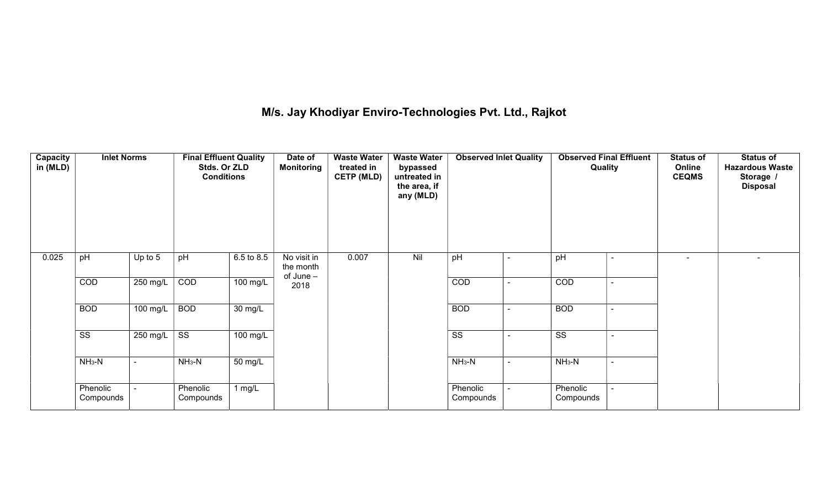# M/s. Jay Khodiyar Enviro-Technologies Pvt. Ltd., Rajkot

| <b>Capacity</b><br>in (MLD) | <b>Inlet Norms</b>     |                                                    | <b>Final Effluent Quality</b><br>Stds. Or ZLD<br><b>Conditions</b> |                   | Date of<br><b>Monitoring</b> | <b>Waste Water</b><br>treated in<br><b>CETP (MLD)</b> | <b>Waste Water</b><br>bypassed<br>untreated in<br>the area, if<br>any (MLD) | <b>Observed Inlet Quality</b> |                | <b>Observed Final Effluent</b><br>Quality |                          | <b>Status of</b><br>Online<br><b>CEQMS</b> | <b>Status of</b><br><b>Hazardous Waste</b><br>Storage /<br><b>Disposal</b> |
|-----------------------------|------------------------|----------------------------------------------------|--------------------------------------------------------------------|-------------------|------------------------------|-------------------------------------------------------|-----------------------------------------------------------------------------|-------------------------------|----------------|-------------------------------------------|--------------------------|--------------------------------------------|----------------------------------------------------------------------------|
| 0.025                       | pH                     | Up to 5                                            | pH                                                                 | 6.5 to 8.5        | No visit in<br>the month     | 0.007                                                 | Nil                                                                         | pH                            |                | pH                                        | $\blacksquare$           | $\overline{\phantom{0}}$                   | $\overline{\phantom{0}}$                                                   |
|                             | COD                    | $250$ mg/L                                         | of June -<br>COD<br>100 mg/L<br>2018                               |                   |                              | COD                                                   |                                                                             | COD                           | ÷.             |                                           |                          |                                            |                                                                            |
|                             | <b>BOD</b>             | 100 mg/L                                           | <b>BOD</b>                                                         | $30 \text{ mg/L}$ |                              |                                                       |                                                                             | <b>BOD</b>                    |                | <b>BOD</b>                                |                          |                                            |                                                                            |
|                             | $\overline{\text{SS}}$ | 250 mg/L                                           | $\overline{\text{ss}}$                                             | 100 mg/L          |                              |                                                       |                                                                             | $\overline{\text{SS}}$        |                | $\overline{\text{ss}}$                    | $\overline{\phantom{0}}$ |                                            |                                                                            |
|                             | $NH3-N$                | $NH_3-N$<br>$\overline{50}$ mg/L<br>$\blacksquare$ |                                                                    |                   |                              | $NH3-N$                                               |                                                                             | $NH_3-N$                      | $\blacksquare$ |                                           |                          |                                            |                                                                            |
|                             | Phenolic<br>Compounds  |                                                    | Phenolic<br>Compounds                                              | 1 $mg/L$          |                              |                                                       |                                                                             | Phenolic<br>Compounds         |                | Phenolic<br>Compounds                     |                          |                                            |                                                                            |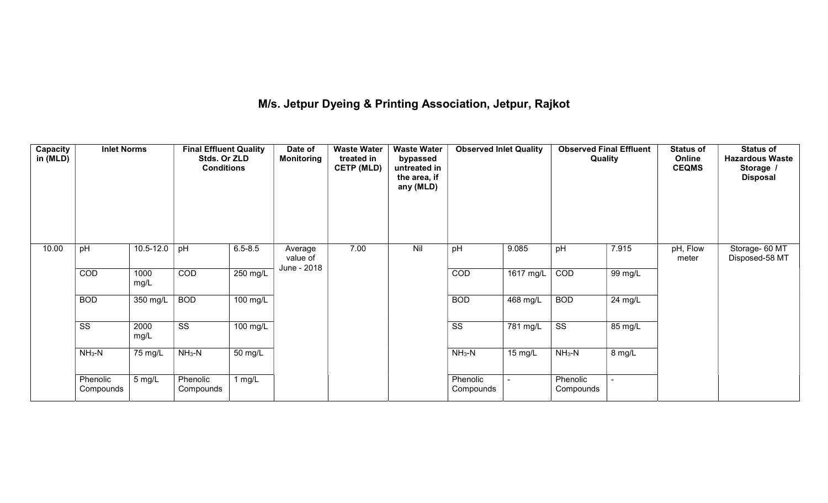## M/s. Jetpur Dyeing & Printing Association, Jetpur, Rajkot

| Capacity<br>in (MLD) | <b>Inlet Norms</b>     |              | <b>Final Effluent Quality</b><br>Stds. Or ZLD<br><b>Conditions</b> |                      | Date of<br><b>Monitoring</b>       | <b>Waste Water</b><br>treated in<br><b>CETP (MLD)</b><br>7.00 | <b>Waste Water</b><br>bypassed<br>untreated in<br>the area, if<br>any (MLD) | <b>Observed Inlet Quality</b> |           | <b>Observed Final Effluent</b><br>Quality |                      | <b>Status of</b><br>Online<br><b>CEQMS</b> | <b>Status of</b><br><b>Hazardous Waste</b><br>Storage<br><b>Disposal</b> |
|----------------------|------------------------|--------------|--------------------------------------------------------------------|----------------------|------------------------------------|---------------------------------------------------------------|-----------------------------------------------------------------------------|-------------------------------|-----------|-------------------------------------------|----------------------|--------------------------------------------|--------------------------------------------------------------------------|
| 10.00                | pH                     | 10.5-12.0    | pH                                                                 | $6.5 - 8.5$          | Average<br>value of<br>June - 2018 |                                                               | Nil                                                                         | pH                            | 9.085     | pH                                        | 7.915                | pH, Flow<br>meter                          | Storage- 60 MT<br>Disposed-58 MT                                         |
|                      | COD                    | 1000<br>mg/L | COD                                                                | 250 mg/L             |                                    |                                                               |                                                                             | COD                           | 1617 mg/L | COD                                       | 99 mg/L              |                                            |                                                                          |
|                      | <b>BOD</b>             | 350 mg/L     | <b>BOD</b>                                                         | $100$ mg/L           |                                    |                                                               |                                                                             | <b>BOD</b>                    | 468 mg/L  | <b>BOD</b>                                | $\overline{24}$ mg/L |                                            |                                                                          |
|                      | $\overline{\text{ss}}$ | 2000<br>mg/L | $\overline{\text{ss}}$                                             | $100 \text{ mg/L}$   |                                    |                                                               |                                                                             | $\overline{\text{SS}}$        | 781 mg/L  | $\overline{\text{SS}}$                    | 85 mg/L              |                                            |                                                                          |
|                      | $NH3-N$                | 75 mg/L      | $NH3-N$                                                            | $\overline{50}$ mg/L |                                    |                                                               |                                                                             | $NH3-N$                       | 15 mg/L   | $NH3-N$                                   | $8 \text{ mg/L}$     |                                            |                                                                          |
|                      | Phenolic<br>Compounds  | 5 mg/L       | Phenolic<br>Compounds                                              | 1 $mg/L$             |                                    |                                                               |                                                                             | Phenolic<br>Compounds         |           | Phenolic<br>Compounds                     |                      |                                            |                                                                          |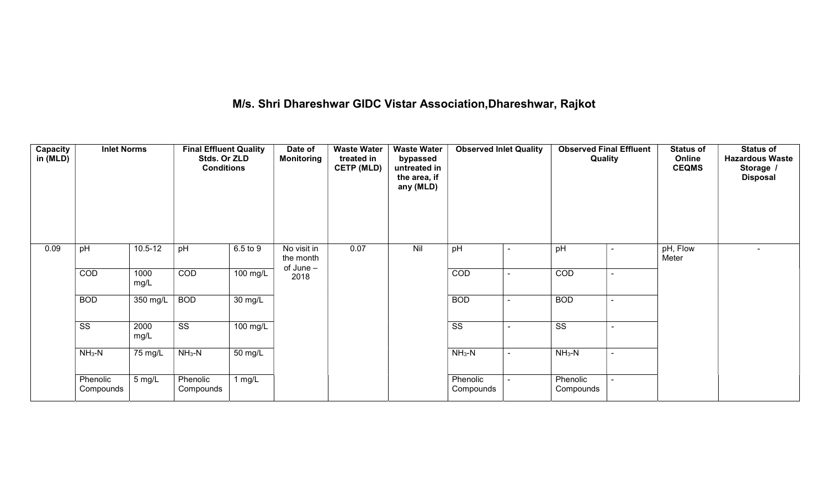## M/s. Shri Dhareshwar GIDC Vistar Association,Dhareshwar, Rajkot

| <b>Capacity</b><br>in (MLD) | <b>Inlet Norms</b>     |              | <b>Final Effluent Quality</b><br>Stds. Or ZLD<br><b>Conditions</b> |                      | Date of<br><b>Monitoring</b>            | <b>Waste Water</b><br>treated in<br><b>CETP (MLD)</b> | <b>Waste Water</b><br>bypassed<br>untreated in<br>the area, if<br>any (MLD) | <b>Observed Inlet Quality</b> |                          | <b>Observed Final Effluent</b><br>Quality |  | <b>Status of</b><br>Online<br><b>CEQMS</b> | <b>Status of</b><br><b>Hazardous Waste</b><br>Storage /<br><b>Disposal</b> |
|-----------------------------|------------------------|--------------|--------------------------------------------------------------------|----------------------|-----------------------------------------|-------------------------------------------------------|-----------------------------------------------------------------------------|-------------------------------|--------------------------|-------------------------------------------|--|--------------------------------------------|----------------------------------------------------------------------------|
| 0.09                        | pH                     | $10.5 - 12$  | pH                                                                 | 6.5 to 9             | No visit in<br>the month<br>of $June -$ | 0.07                                                  | Nil                                                                         | pH                            | $\overline{\phantom{a}}$ | pH                                        |  | pH, Flow<br>Meter                          | $\overline{\phantom{0}}$                                                   |
|                             | COD                    | 1000<br>mg/L | COD                                                                | $100$ mg/L           | 2018                                    |                                                       |                                                                             | COD                           | $\overline{\phantom{0}}$ | COD                                       |  |                                            |                                                                            |
|                             | <b>BOD</b>             | 350 mg/L     | <b>BOD</b>                                                         | $\overline{30}$ mg/L |                                         |                                                       |                                                                             | <b>BOD</b>                    | $\sim$                   | <b>BOD</b>                                |  |                                            |                                                                            |
|                             | $\overline{\text{ss}}$ | 2000<br>mg/L | $\overline{\text{ss}}$                                             | $100 \text{ mg/L}$   |                                         |                                                       |                                                                             | $\overline{\text{SS}}$        |                          | $\overline{\text{SS}}$                    |  |                                            |                                                                            |
|                             | $NH3-N$                | 75 mg/L      | $NH3-N$                                                            | $\overline{50}$ mg/L |                                         |                                                       |                                                                             | $NH3-N$                       | $\sim$                   | $NH_3-N$                                  |  |                                            |                                                                            |
|                             | Phenolic<br>Compounds  | 5 mg/L       | Phenolic<br>Compounds                                              | 1 $mg/L$             |                                         |                                                       |                                                                             | Phenolic<br>Compounds         |                          | Phenolic<br>Compounds                     |  |                                            |                                                                            |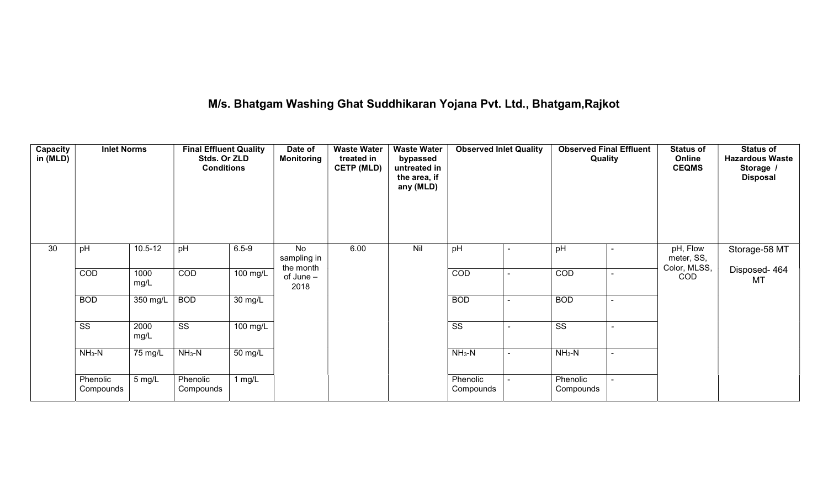## M/s. Bhatgam Washing Ghat Suddhikaran Yojana Pvt. Ltd., Bhatgam,Rajkot

| <b>Capacity</b><br>in (MLD) | <b>Inlet Norms</b>     |              | <b>Final Effluent Quality</b><br>Stds. Or ZLD<br><b>Conditions</b> |                       | Date of<br><b>Monitoring</b>   | <b>Waste Water</b><br>treated in<br><b>CETP (MLD)</b> | <b>Waste Water</b><br>bypassed<br>untreated in<br>the area, if<br>any (MLD) | <b>Observed Inlet Quality</b> |                          | <b>Observed Final Effluent</b><br>Quality |                          | <b>Status of</b><br>Online<br><b>CEQMS</b> | <b>Status of</b><br><b>Hazardous Waste</b><br>Storage /<br><b>Disposal</b> |
|-----------------------------|------------------------|--------------|--------------------------------------------------------------------|-----------------------|--------------------------------|-------------------------------------------------------|-----------------------------------------------------------------------------|-------------------------------|--------------------------|-------------------------------------------|--------------------------|--------------------------------------------|----------------------------------------------------------------------------|
| 30                          | pH                     | $10.5 - 12$  | pH                                                                 | $6.5 - 9$             | No<br>sampling in<br>the month | 6.00                                                  | Nil                                                                         | pH                            |                          | pH                                        |                          | pH, Flow<br>meter, SS,<br>Color, MLSS,     | Storage-58 MT                                                              |
|                             | COD                    | 1000<br>mg/L | COD                                                                | 100 mg/L              | of $June -$<br>2018            |                                                       |                                                                             | COD                           |                          | COD                                       |                          | COD                                        | Disposed-464<br><b>MT</b>                                                  |
|                             | <b>BOD</b>             | 350 mg/L     | <b>BOD</b>                                                         | $\overline{30}$ mg/L  |                                |                                                       |                                                                             | <b>BOD</b>                    |                          | <b>BOD</b>                                |                          |                                            |                                                                            |
|                             | $\overline{\text{ss}}$ | 2000<br>mg/L | $\overline{\text{ss}}$                                             | $\overline{100}$ mg/L |                                |                                                       |                                                                             | $\overline{\text{ss}}$        | $\overline{\phantom{a}}$ | $\overline{\text{ss}}$                    | $\overline{\phantom{a}}$ |                                            |                                                                            |
|                             | $NH3-N$                | 75 mg/L      | $NH3-N$                                                            | $50 \text{ mg/L}$     |                                |                                                       |                                                                             | $NH3-N$                       |                          | $NH3-N$                                   | $\overline{\phantom{0}}$ |                                            |                                                                            |
|                             | Phenolic<br>Compounds  | 5 mg/L       | Phenolic<br>Compounds                                              | 1 $mg/L$              |                                |                                                       |                                                                             | Phenolic<br>Compounds         |                          | Phenolic<br>Compounds                     |                          |                                            |                                                                            |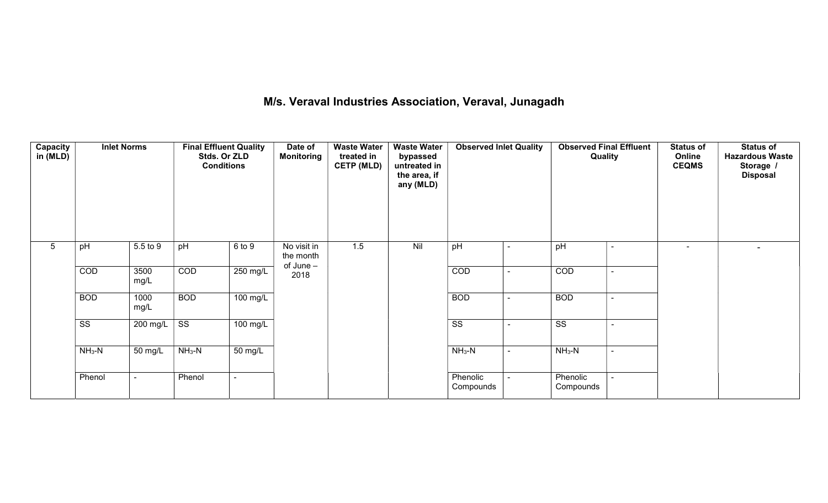## M/s. Veraval Industries Association, Veraval, Junagadh

| <b>Capacity</b><br>in (MLD) | <b>Inlet Norms</b>     |                               | <b>Final Effluent Quality</b><br>Stds. Or ZLD<br><b>Conditions</b> |                    | Date of<br><b>Waste Water</b><br><b>Monitoring</b><br>treated in<br><b>CETP (MLD)</b> |        | <b>Waste Water</b><br>bypassed<br>untreated in<br>the area, if<br>any (MLD)<br>Nil | <b>Observed Inlet Quality</b> |                          | <b>Observed Final Effluent</b><br>Quality |  | <b>Status of</b><br>Online<br><b>CEQMS</b> | <b>Status of</b><br><b>Hazardous Waste</b><br>Storage /<br><b>Disposal</b> |
|-----------------------------|------------------------|-------------------------------|--------------------------------------------------------------------|--------------------|---------------------------------------------------------------------------------------|--------|------------------------------------------------------------------------------------|-------------------------------|--------------------------|-------------------------------------------|--|--------------------------------------------|----------------------------------------------------------------------------|
| $5\overline{)}$             | pH                     | 5.5 to 9                      | pH                                                                 | 6 to 9             | No visit in<br>the month<br>of June -                                                 | 1.5    |                                                                                    | pH                            |                          | pH                                        |  | $\sim$                                     | $\sim$                                                                     |
|                             | COD                    | 3500<br>mg/L                  | COD                                                                | 250 mg/L           | 2018                                                                                  |        |                                                                                    | COD                           |                          | COD                                       |  |                                            |                                                                            |
|                             | <b>BOD</b>             | 1000<br>mg/L                  | <b>BOD</b>                                                         | 100 mg/L           |                                                                                       |        |                                                                                    | <b>BOD</b>                    | $\overline{\phantom{0}}$ | <b>BOD</b>                                |  |                                            |                                                                            |
|                             | $\overline{\text{ss}}$ | 200 mg/L $\vert$              | $\overline{\text{SS}}$                                             | $100 \text{ mg/L}$ |                                                                                       |        |                                                                                    | $\overline{\text{ss}}$        |                          | $\overline{\text{ss}}$                    |  |                                            |                                                                            |
|                             | $NH3-N$                | $NH3-N$<br>50 mg/L<br>50 mg/L |                                                                    |                    | $NH_3-N$                                                                              | $\sim$ | $NH_3-N$                                                                           |                               |                          |                                           |  |                                            |                                                                            |
|                             | Phenol                 |                               | Phenol                                                             |                    |                                                                                       |        |                                                                                    | Phenolic<br>Compounds         |                          | Phenolic<br>Compounds                     |  |                                            |                                                                            |